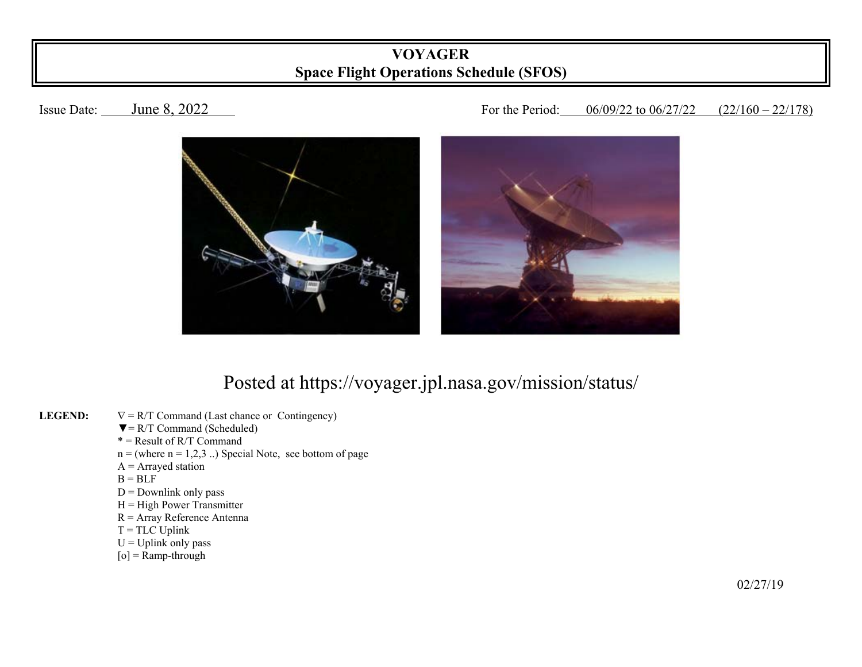## **VOYAGER Space Flight Operations Schedule (SFOS)**

## Issue Date: June 8, 2022 For the Period: 06/09/22 to 06/27/22 (22/160 – 22/178)



## Posted at https://voyager.jpl.nasa.gov/mission/status/

- **LEGEND:**   $\nabla = R/T$  Command (Last chance or Contingency)
	- $\nabla = R/T$  Command (Scheduled)
- $* =$ Result of R/T Command
	- $n =$  (where  $n = 1,2,3$ ...) Special Note, see bottom of page
	- $A =$  Arrayed station
- $B = BLF$ 
	- $D =$  Downlink only pass
	- $H = High Power Transmitter$
	- R = Array Reference Antenna
	- $T = TLC$  Uplink
	- $U = U$ plink only pass
	- $[o]$  = Ramp-through

 $\frac{02}{27/19}$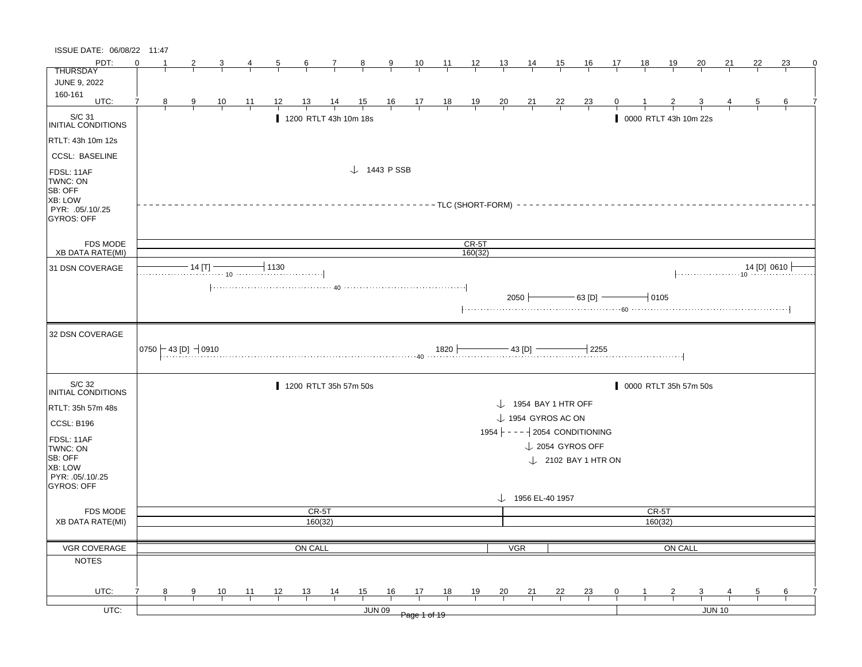| ISSUE DATE: 06/08/22 11:47                                                            |          |                |                                                 |                |       |                |                  |                       |                                                                                                       |               |                                                                |                                 |                |                |                                 |                |                                                                        |    |    |                       |                         |                                       |                |    |  |
|---------------------------------------------------------------------------------------|----------|----------------|-------------------------------------------------|----------------|-------|----------------|------------------|-----------------------|-------------------------------------------------------------------------------------------------------|---------------|----------------------------------------------------------------|---------------------------------|----------------|----------------|---------------------------------|----------------|------------------------------------------------------------------------|----|----|-----------------------|-------------------------|---------------------------------------|----------------|----|--|
| PDT:                                                                                  | $\Omega$ |                |                                                 | 3              | 4     | $\overline{5}$ | $6 \overline{6}$ | $\mathcal{I}$         | $\frac{8}{1}$                                                                                         | $\frac{9}{2}$ | $\frac{10}{1}$                                                 | $\frac{11}{12}$ $\frac{12}{13}$ |                |                | 14                              | 15             | <u>16</u>                                                              | 17 | 18 | <u>19</u>             | 20                      | 21                                    | 22             | 23 |  |
| <b>THURSDAY</b>                                                                       |          |                |                                                 |                |       |                |                  |                       |                                                                                                       |               |                                                                |                                 |                |                |                                 |                |                                                                        |    |    |                       |                         |                                       |                |    |  |
| <b>JUNE 9, 2022</b>                                                                   |          |                |                                                 |                |       |                |                  |                       |                                                                                                       |               |                                                                |                                 |                |                |                                 |                |                                                                        |    |    |                       |                         |                                       |                |    |  |
| 160-161<br>UTC:                                                                       | 7        |                |                                                 |                |       |                |                  |                       |                                                                                                       |               |                                                                |                                 |                |                |                                 |                |                                                                        |    |    |                       |                         |                                       |                |    |  |
|                                                                                       |          | 8 <sup>8</sup> | $\frac{9}{1}$                                   | $\frac{10}{1}$ | $-11$ | 12             | 13               | $\frac{14}{1}$        | $\frac{15}{1}$                                                                                        |               | $\begin{array}{c cc} 16 & 17 & 18 \\ \hline & & & \end{array}$ |                                 | $\frac{19}{1}$ | $\frac{20}{ }$ | $\frac{21}{1}$                  | $\frac{22}{1}$ | $\frac{23}{1}$                                                         | Q  |    | $\frac{2}{1}$         | $\frac{3}{1}$           |                                       | $\overline{5}$ | 6  |  |
| S/C 31<br>INITIAL CONDITIONS                                                          |          |                |                                                 |                |       |                |                  | 1200 RTLT 43h 10m 18s |                                                                                                       |               |                                                                |                                 |                |                |                                 |                |                                                                        |    |    | 0000 RTLT 43h 10m 22s |                         |                                       |                |    |  |
| RTLT: 43h 10m 12s                                                                     |          |                |                                                 |                |       |                |                  |                       |                                                                                                       |               |                                                                |                                 |                |                |                                 |                |                                                                        |    |    |                       |                         |                                       |                |    |  |
| <b>CCSL: BASELINE</b>                                                                 |          |                |                                                 |                |       |                |                  |                       |                                                                                                       |               |                                                                |                                 |                |                |                                 |                |                                                                        |    |    |                       |                         |                                       |                |    |  |
| FDSL: 11AF<br>TWNC: ON<br>SB: OFF<br>XB: LOW<br>PYR: .05/.10/.25<br><b>GYROS: OFF</b> |          |                |                                                 |                |       |                |                  |                       | $\downarrow$ 1443 PSSB                                                                                |               |                                                                |                                 |                |                |                                 |                |                                                                        |    |    |                       |                         |                                       |                |    |  |
| <b>FDS MODE</b>                                                                       |          |                |                                                 |                |       |                |                  |                       |                                                                                                       |               |                                                                |                                 | $CR-5T$        |                |                                 |                |                                                                        |    |    |                       |                         |                                       |                |    |  |
| XB DATA RATE(MI)                                                                      |          |                |                                                 |                |       |                |                  |                       |                                                                                                       |               |                                                                |                                 | 160(32)        |                |                                 |                |                                                                        |    |    |                       |                         |                                       |                |    |  |
| 31 DSN COVERAGE                                                                       |          |                | $-14$ [T] $-$                                   |                |       | $-1130$        |                  |                       |                                                                                                       |               |                                                                |                                 |                |                |                                 |                |                                                                        |    |    |                       |                         | $\downarrow$ 14 [D] 0610 $\downarrow$ |                |    |  |
| 32 DSN COVERAGE                                                                       |          |                | $\vert$ 0750 $\vert$ - 43 [D] $\,$ $\vert$ 0910 |                |       |                |                  |                       | 0910 1820 $\overline{\phantom{a}1}$ 43 [D] $\overline{\phantom{a}1}$ 43 [D] $\overline{\phantom{a}1}$ |               |                                                                |                                 |                |                | $2050$ $\leftarrow$             |                | $\frac{1}{100}$ 63 [D] $\frac{1}{100}$ 0105<br>$\mathbin{\dashv}$ 2255 |    |    |                       |                         |                                       |                |    |  |
| S/C 32                                                                                |          |                |                                                 |                |       |                |                  | 1200 RTLT 35h 57m 50s |                                                                                                       |               |                                                                |                                 |                |                |                                 |                |                                                                        |    |    | 0000 RTLT 35h 57m 50s |                         |                                       |                |    |  |
| <b>INITIAL CONDITIONS</b>                                                             |          |                |                                                 |                |       |                |                  |                       |                                                                                                       |               |                                                                |                                 |                |                |                                 |                |                                                                        |    |    |                       |                         |                                       |                |    |  |
| RTLT: 35h 57m 48s                                                                     |          |                |                                                 |                |       |                |                  |                       |                                                                                                       |               |                                                                |                                 |                |                | $\downarrow$ 1954 BAY 1 HTR OFF |                |                                                                        |    |    |                       |                         |                                       |                |    |  |
| CCSL: B196                                                                            |          |                |                                                 |                |       |                |                  |                       |                                                                                                       |               |                                                                |                                 |                |                | $\downarrow$ 1954 GYROS AC ON   |                |                                                                        |    |    |                       |                         |                                       |                |    |  |
|                                                                                       |          |                |                                                 |                |       |                |                  |                       |                                                                                                       |               |                                                                |                                 |                |                |                                 |                | 1954 ---- 2054 CONDITIONING                                            |    |    |                       |                         |                                       |                |    |  |
| FDSL: 11AF<br>TWNC: ON                                                                |          |                |                                                 |                |       |                |                  |                       |                                                                                                       |               |                                                                |                                 |                |                |                                 |                | $\downarrow$ 2054 GYROS OFF                                            |    |    |                       |                         |                                       |                |    |  |
| SB: OFF<br>XB: LOW<br>PYR: 05/10/25<br>GYROS: OFF                                     |          |                |                                                 |                |       |                |                  |                       |                                                                                                       |               |                                                                |                                 |                |                |                                 |                | $\downarrow$ 2102 BAY 1 HTR ON                                         |    |    |                       |                         |                                       |                |    |  |
|                                                                                       |          |                |                                                 |                |       |                |                  |                       |                                                                                                       |               |                                                                |                                 |                |                | $\downarrow$ 1956 EL-40 1957    |                |                                                                        |    |    |                       |                         |                                       |                |    |  |
| <b>FDS MODE</b>                                                                       |          |                |                                                 |                |       |                | CR-5T            |                       |                                                                                                       |               |                                                                |                                 |                |                |                                 |                |                                                                        |    |    | CR-5T                 |                         |                                       |                |    |  |
| <b>XB DATA RATE(MI)</b>                                                               |          |                |                                                 |                |       |                | 160(32)          |                       |                                                                                                       |               |                                                                |                                 |                |                |                                 |                |                                                                        |    |    | 160(32)               |                         |                                       |                |    |  |
|                                                                                       |          |                |                                                 |                |       |                |                  |                       |                                                                                                       |               |                                                                |                                 |                |                |                                 |                |                                                                        |    |    |                       |                         |                                       |                |    |  |
| VGR COVERAGE                                                                          |          |                |                                                 |                |       |                | ON CALL          |                       |                                                                                                       |               |                                                                |                                 |                | <b>VGR</b>     |                                 |                |                                                                        |    |    | ON CALL               |                         |                                       |                |    |  |
| <b>NOTES</b>                                                                          |          |                |                                                 |                |       |                |                  |                       |                                                                                                       |               |                                                                |                                 |                |                |                                 |                |                                                                        |    |    |                       |                         |                                       |                |    |  |
|                                                                                       |          |                |                                                 |                |       |                |                  |                       |                                                                                                       |               |                                                                |                                 |                |                |                                 |                |                                                                        |    |    |                       |                         |                                       |                |    |  |
| UTC:                                                                                  |          | 8              | 9                                               | 10             | 11    | 12             | 13               | 14                    | 15                                                                                                    | 16            | 17                                                             | 18                              | 19             | $\frac{20}{1}$ | 21                              | 22             | $^{23}$                                                                | 0  |    | $\overline{2}$        | $\overline{\mathbf{3}}$ |                                       | 5              | 6  |  |
| UTC:                                                                                  |          |                |                                                 |                |       |                |                  |                       | <b>JUN 09</b>                                                                                         |               | Page 1 of 19                                                   |                                 |                |                |                                 |                |                                                                        |    |    |                       |                         | <b>JUN 10</b>                         |                |    |  |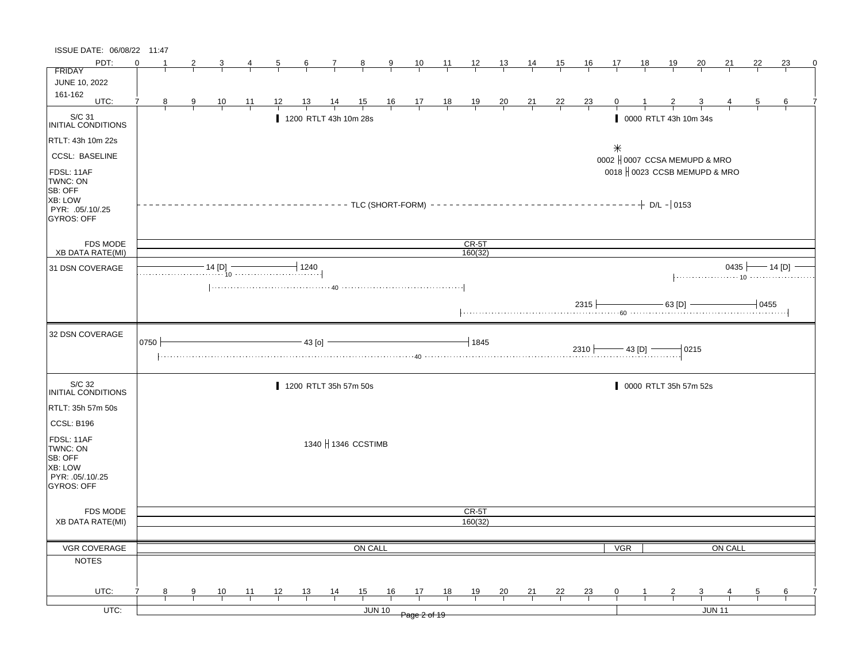| ISSUE DATE: 06/08/22 11:47                                                            |      |   |               |                                                                                                                                                                                                                                                                                                                                                                                                                                         |                |                |                 |                       |                     |               |                                                              |    |                                              |                |                |           |                  |                  |           |                |                               |               |                            |    |  |
|---------------------------------------------------------------------------------------|------|---|---------------|-----------------------------------------------------------------------------------------------------------------------------------------------------------------------------------------------------------------------------------------------------------------------------------------------------------------------------------------------------------------------------------------------------------------------------------------|----------------|----------------|-----------------|-----------------------|---------------------|---------------|--------------------------------------------------------------|----|----------------------------------------------|----------------|----------------|-----------|------------------|------------------|-----------|----------------|-------------------------------|---------------|----------------------------|----|--|
| PDT:                                                                                  |      |   |               | 3                                                                                                                                                                                                                                                                                                                                                                                                                                       | $\overline{4}$ | $\overline{5}$ | $6\overline{6}$ | $\frac{7}{ }$         | $\frac{8}{1}$       | $\frac{9}{2}$ | 10                                                           |    | $\frac{11}{1}$ $\frac{12}{1}$ $\frac{13}{1}$ |                | <u>14</u>      | <u>15</u> | $\underline{16}$ | 17               | <u>18</u> | <u> 19</u>     | $\overline{20}$               | <u>21</u>     | 22                         | 23 |  |
| <b>FRIDAY</b>                                                                         |      |   |               |                                                                                                                                                                                                                                                                                                                                                                                                                                         |                |                |                 |                       |                     |               |                                                              |    |                                              |                |                |           |                  |                  |           |                |                               |               |                            |    |  |
| JUNE 10, 2022                                                                         |      |   |               |                                                                                                                                                                                                                                                                                                                                                                                                                                         |                |                |                 |                       |                     |               |                                                              |    |                                              |                |                |           |                  |                  |           |                |                               |               |                            |    |  |
| 161-162<br>UTC:                                                                       | 7    | 8 | $\frac{9}{1}$ | $\frac{10}{1}$                                                                                                                                                                                                                                                                                                                                                                                                                          | 11             | 12             | 13              | $\frac{14}{5}$        | $\frac{15}{1}$      |               | $\begin{array}{cccccc}\n16 & 17 & 18 \\ \hline\n\end{array}$ |    | $\frac{19}{1}$                               | $\frac{20}{1}$ | $\frac{21}{1}$ | $^{22}$   | $\frac{23}{1}$   | $\mathbf{0}$     |           |                |                               |               |                            | 6  |  |
|                                                                                       |      |   |               |                                                                                                                                                                                                                                                                                                                                                                                                                                         |                |                |                 |                       |                     |               |                                                              |    |                                              |                |                |           |                  |                  |           |                |                               |               |                            |    |  |
| S/C 31<br>INITIAL CONDITIONS                                                          |      |   |               |                                                                                                                                                                                                                                                                                                                                                                                                                                         |                |                |                 | 1200 RTLT 43h 10m 28s |                     |               |                                                              |    |                                              |                |                |           |                  |                  |           |                | 0000 RTLT 43h 10m 34s         |               |                            |    |  |
| RTLT: 43h 10m 22s                                                                     |      |   |               |                                                                                                                                                                                                                                                                                                                                                                                                                                         |                |                |                 |                       |                     |               |                                                              |    |                                              |                |                |           |                  | $\divideontimes$ |           |                |                               |               |                            |    |  |
| <b>CCSL: BASELINE</b>                                                                 |      |   |               |                                                                                                                                                                                                                                                                                                                                                                                                                                         |                |                |                 |                       |                     |               |                                                              |    |                                              |                |                |           |                  |                  |           |                | 0002   0007 CCSA MEMUPD & MRO |               |                            |    |  |
| FDSL: 11AF<br>TWNC: ON<br>SB: OFF<br>XB: LOW<br>PYR: .05/.10/.25<br><b>GYROS: OFF</b> |      |   |               |                                                                                                                                                                                                                                                                                                                                                                                                                                         |                |                |                 |                       |                     |               |                                                              |    |                                              |                |                |           |                  |                  |           | $+$ D/L - 0153 | 0018   0023 CCSB MEMUPD & MRO |               |                            |    |  |
| <b>FDS MODE</b>                                                                       |      |   |               |                                                                                                                                                                                                                                                                                                                                                                                                                                         |                |                |                 |                       |                     |               |                                                              |    | $CR-5T$                                      |                |                |           |                  |                  |           |                |                               |               |                            |    |  |
| <b>XB DATA RATE(MI)</b>                                                               |      |   |               |                                                                                                                                                                                                                                                                                                                                                                                                                                         |                |                |                 |                       |                     |               |                                                              |    | 160(32)                                      |                |                |           |                  |                  |           |                |                               |               |                            |    |  |
| 31 DSN COVERAGE                                                                       |      |   |               | $\begin{array}{c c c c c} \hline \multicolumn{3}{c }{\textbf{14 [D]}} & \multicolumn{3}{c }{\textbf{1240}} \\ \hline \multicolumn{3}{c }{\textbf{14 [D]}} & \multicolumn{3}{c }{\textbf{1240}} \\ \hline \multicolumn{3}{c }{\textbf{14 [D]}} & \multicolumn{3}{c }{\textbf{1240}} \\ \hline \multicolumn{3}{c }{\textbf{14 [D]}} & \multicolumn{3}{c }{\textbf{14 [D]}} \\ \hline \multicolumn{3}{c }{\textbf{14 [D]}} & \multicolumn$ |                |                |                 |                       |                     |               |                                                              |    |                                              |                |                |           |                  |                  |           |                |                               |               | 0435 $\leftarrow$ 14 [D] - |    |  |
|                                                                                       |      |   |               |                                                                                                                                                                                                                                                                                                                                                                                                                                         |                |                |                 |                       |                     |               |                                                              |    |                                              |                |                |           |                  |                  |           |                |                               |               |                            |    |  |
| 32 DSN COVERAGE                                                                       | 0750 |   |               | $+$ 2310 $-$ 43 [D] $-$                                                                                                                                                                                                                                                                                                                                                                                                                 |                |                | $-43$ [o]       |                       |                     |               |                                                              |    | $+1845$                                      |                |                |           |                  |                  |           |                | $-0215$                       |               |                            |    |  |
| S/C 32<br>INITIAL CONDITIONS                                                          |      |   |               |                                                                                                                                                                                                                                                                                                                                                                                                                                         |                |                |                 | 1200 RTLT 35h 57m 50s |                     |               |                                                              |    |                                              |                |                |           |                  |                  |           |                | 0000 RTLT 35h 57m 52s         |               |                            |    |  |
| RTLT: 35h 57m 50s                                                                     |      |   |               |                                                                                                                                                                                                                                                                                                                                                                                                                                         |                |                |                 |                       |                     |               |                                                              |    |                                              |                |                |           |                  |                  |           |                |                               |               |                            |    |  |
| CCSL: B196                                                                            |      |   |               |                                                                                                                                                                                                                                                                                                                                                                                                                                         |                |                |                 |                       |                     |               |                                                              |    |                                              |                |                |           |                  |                  |           |                |                               |               |                            |    |  |
| FDSL: 11AF<br>TWNC: ON<br>SB: OFF<br>XB: LOW<br>PYR: .05/.10/.25<br>GYROS: OFF        |      |   |               |                                                                                                                                                                                                                                                                                                                                                                                                                                         |                |                |                 |                       | 1340   1346 CCSTIMB |               |                                                              |    |                                              |                |                |           |                  |                  |           |                |                               |               |                            |    |  |
| <b>FDS MODE</b>                                                                       |      |   |               |                                                                                                                                                                                                                                                                                                                                                                                                                                         |                |                |                 |                       |                     |               |                                                              |    | CR-5T                                        |                |                |           |                  |                  |           |                |                               |               |                            |    |  |
| <b>XB DATA RATE(MI)</b>                                                               |      |   |               |                                                                                                                                                                                                                                                                                                                                                                                                                                         |                |                |                 |                       |                     |               |                                                              |    | 160(32)                                      |                |                |           |                  |                  |           |                |                               |               |                            |    |  |
|                                                                                       |      |   |               |                                                                                                                                                                                                                                                                                                                                                                                                                                         |                |                |                 |                       |                     |               |                                                              |    |                                              |                |                |           |                  |                  |           |                |                               |               |                            |    |  |
| VGR COVERAGE                                                                          |      |   |               |                                                                                                                                                                                                                                                                                                                                                                                                                                         |                |                |                 |                       | ON CALL             |               |                                                              |    |                                              |                |                |           |                  | <b>VGR</b>       |           |                |                               | ON CALL       |                            |    |  |
| <b>NOTES</b>                                                                          |      |   |               |                                                                                                                                                                                                                                                                                                                                                                                                                                         |                |                |                 |                       |                     |               |                                                              |    |                                              |                |                |           |                  |                  |           |                |                               |               |                            |    |  |
| UTC:                                                                                  | 7    | 8 | 9             | 10                                                                                                                                                                                                                                                                                                                                                                                                                                      | 11             | 12             | 13              | 14                    | 15                  | 16            | 17                                                           | 18 | 19                                           | 20             | 21             | 22        | 23               | $\mathbf{0}$     |           | 2              | 3                             |               | 5                          | 6  |  |
|                                                                                       |      |   |               |                                                                                                                                                                                                                                                                                                                                                                                                                                         |                |                |                 |                       |                     |               |                                                              |    |                                              |                |                |           |                  |                  |           |                |                               |               |                            |    |  |
| UTC:                                                                                  |      |   |               |                                                                                                                                                                                                                                                                                                                                                                                                                                         |                |                |                 |                       |                     | <b>JUN 10</b> | Page 2 of 19                                                 |    |                                              |                |                |           |                  |                  |           |                |                               | <b>JUN 11</b> |                            |    |  |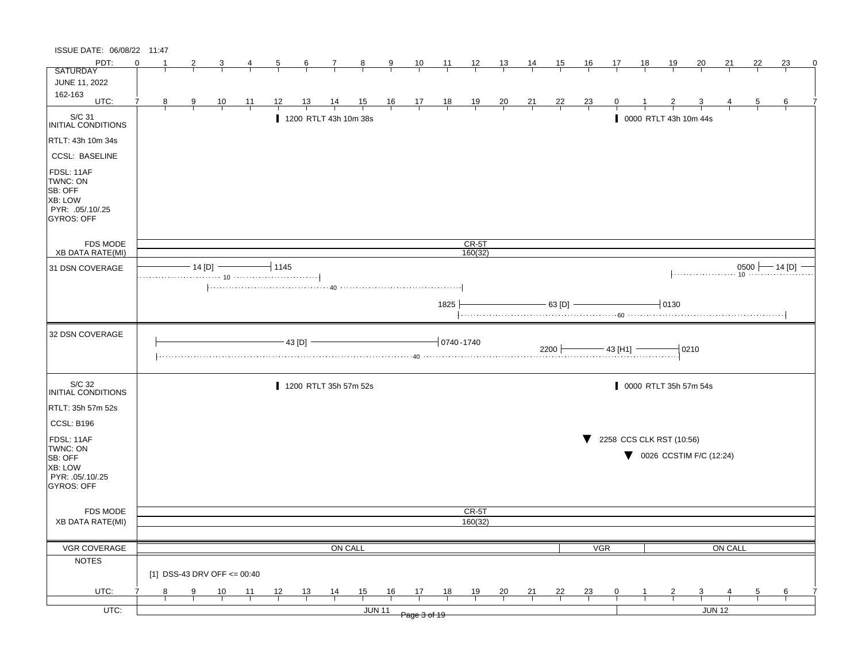| ISSUE DATE: 06/08/22 11:47                                                            |          |               |                             |            |                |                 |                       |                |                |                                                      |                |                |                |                |                |                |                 |           |                                               |                                              |         |                |                                                                     |  |
|---------------------------------------------------------------------------------------|----------|---------------|-----------------------------|------------|----------------|-----------------|-----------------------|----------------|----------------|------------------------------------------------------|----------------|----------------|----------------|----------------|----------------|----------------|-----------------|-----------|-----------------------------------------------|----------------------------------------------|---------|----------------|---------------------------------------------------------------------|--|
| PDT:                                                                                  | $\Omega$ |               |                             |            |                | $6\overline{6}$ | $\frac{7}{2}$         | $\frac{8}{ }$  | $\frac{9}{2}$  | $\frac{10}{1}$                                       | $\frac{11}{1}$ | $\frac{12}{ }$ | $\frac{13}{1}$ | <u>14</u>      | <u>15</u>      | <u>16</u>      | 17              | <u>18</u> | <u> 19</u>                                    | 20                                           | 21      | 22             | 23                                                                  |  |
| <b>SATURDAY</b>                                                                       |          |               |                             |            |                |                 |                       |                |                |                                                      |                |                |                |                |                |                |                 |           |                                               |                                              |         |                |                                                                     |  |
| JUNE 11, 2022                                                                         |          |               |                             |            |                |                 |                       |                |                |                                                      |                |                |                |                |                |                |                 |           |                                               |                                              |         |                |                                                                     |  |
| 162-163<br>UTC:                                                                       | 7<br>8   | 9             | $\frac{10}{1}$              | <u> 11</u> | <u> 12 </u>    | <u> 13 </u>     | $\frac{14}{1}$        | $\frac{15}{1}$ |                | $\begin{array}{c c}\n16 & 17 \\ \hline\n\end{array}$ | $\frac{18}{1}$ | $\frac{19}{1}$ | $\frac{20}{1}$ | $\frac{21}{}$  | $\frac{22}{1}$ | $\frac{23}{1}$ |                 |           |                                               |                                              |         |                | 6                                                                   |  |
| S/C 31<br>INITIAL CONDITIONS                                                          |          |               |                             |            |                |                 | 1200 RTLT 43h 10m 38s |                |                |                                                      |                |                |                |                |                |                |                 |           | 0000 RTLT 43h 10m 44s                         |                                              |         |                |                                                                     |  |
| RTLT: 43h 10m 34s                                                                     |          |               |                             |            |                |                 |                       |                |                |                                                      |                |                |                |                |                |                |                 |           |                                               |                                              |         |                |                                                                     |  |
| <b>CCSL: BASELINE</b>                                                                 |          |               |                             |            |                |                 |                       |                |                |                                                      |                |                |                |                |                |                |                 |           |                                               |                                              |         |                |                                                                     |  |
| FDSL: 11AF<br>TWNC: ON<br>SB: OFF<br>XB: LOW<br>PYR: .05/.10/.25<br><b>GYROS: OFF</b> |          |               |                             |            |                |                 |                       |                |                |                                                      |                |                |                |                |                |                |                 |           |                                               |                                              |         |                |                                                                     |  |
| FDS MODE                                                                              |          |               |                             |            |                |                 |                       |                |                |                                                      |                | $CR-5T$        |                |                |                |                |                 |           |                                               |                                              |         |                |                                                                     |  |
| <b>XB DATA RATE(MI)</b>                                                               |          | $-14$ [D] $-$ |                             |            | $-11145$       |                 |                       |                |                |                                                      |                | 160(32)        |                |                |                |                |                 |           |                                               |                                              |         |                |                                                                     |  |
| 31 DSN COVERAGE                                                                       |          |               |                             |            |                |                 |                       |                |                |                                                      |                |                |                |                |                |                |                 |           |                                               |                                              |         |                | $\begin{array}{c} 0500 \longleftarrow 14 \text{ [D]} - \end{array}$ |  |
|                                                                                       |          |               |                             |            |                |                 |                       |                |                |                                                      |                |                |                |                |                |                |                 |           |                                               |                                              |         |                |                                                                     |  |
|                                                                                       |          |               |                             |            |                |                 |                       |                |                |                                                      | 1825           |                |                |                | $-$ 63 [D] $-$ |                |                 |           | $+0130$                                       |                                              |         |                |                                                                     |  |
| 32 DSN COVERAGE                                                                       |          |               |                             |            |                | 43 [D]          |                       |                |                |                                                      | $10740 - 1740$ |                |                |                | 2200           |                | $-$ 43 [H1] $-$ |           |                                               | 0210                                         |         |                |                                                                     |  |
| S/C 32<br><b>INITIAL CONDITIONS</b>                                                   |          |               |                             |            |                |                 | 1200 RTLT 35h 57m 52s |                |                |                                                      |                |                |                |                |                |                |                 |           |                                               | 0000 RTLT 35h 57m 54s                        |         |                |                                                                     |  |
| RTLT: 35h 57m 52s                                                                     |          |               |                             |            |                |                 |                       |                |                |                                                      |                |                |                |                |                |                |                 |           |                                               |                                              |         |                |                                                                     |  |
| CCSL: B196                                                                            |          |               |                             |            |                |                 |                       |                |                |                                                      |                |                |                |                |                |                |                 |           |                                               |                                              |         |                |                                                                     |  |
|                                                                                       |          |               |                             |            |                |                 |                       |                |                |                                                      |                |                |                |                |                |                |                 |           |                                               |                                              |         |                |                                                                     |  |
| FDSL: 11AF<br>TWNC: ON                                                                |          |               |                             |            |                |                 |                       |                |                |                                                      |                |                |                |                |                |                |                 |           | $\blacktriangledown$ 2258 CCS CLK RST (10:56) |                                              |         |                |                                                                     |  |
| SB: OFF                                                                               |          |               |                             |            |                |                 |                       |                |                |                                                      |                |                |                |                |                |                |                 |           |                                               | $\blacktriangledown$ 0026 CCSTIM F/C (12:24) |         |                |                                                                     |  |
| XB: LOW                                                                               |          |               |                             |            |                |                 |                       |                |                |                                                      |                |                |                |                |                |                |                 |           |                                               |                                              |         |                |                                                                     |  |
| PYR: .05/.10/.25<br>GYROS: OFF                                                        |          |               |                             |            |                |                 |                       |                |                |                                                      |                |                |                |                |                |                |                 |           |                                               |                                              |         |                |                                                                     |  |
|                                                                                       |          |               |                             |            |                |                 |                       |                |                |                                                      |                |                |                |                |                |                |                 |           |                                               |                                              |         |                |                                                                     |  |
|                                                                                       |          |               |                             |            |                |                 |                       |                |                |                                                      |                | CR-5T          |                |                |                |                |                 |           |                                               |                                              |         |                |                                                                     |  |
| <b>FDS MODE</b><br><b>XB DATA RATE(MI)</b>                                            |          |               |                             |            |                |                 |                       |                |                |                                                      |                | 160(32)        |                |                |                |                |                 |           |                                               |                                              |         |                |                                                                     |  |
|                                                                                       |          |               |                             |            |                |                 |                       |                |                |                                                      |                |                |                |                |                |                |                 |           |                                               |                                              |         |                |                                                                     |  |
| VGR COVERAGE                                                                          |          |               |                             |            |                |                 |                       | ON CALL        |                |                                                      |                |                |                |                |                | <b>VGR</b>     |                 |           |                                               |                                              | ON CALL |                |                                                                     |  |
| <b>NOTES</b>                                                                          |          |               |                             |            |                |                 |                       |                |                |                                                      |                |                |                |                |                |                |                 |           |                                               |                                              |         |                |                                                                     |  |
|                                                                                       |          |               | [1] DSS-43 DRV OFF <= 00:40 |            |                |                 |                       |                |                |                                                      |                |                |                |                |                |                |                 |           |                                               |                                              |         |                |                                                                     |  |
| UTC:                                                                                  | 8        | 9             | $\frac{10}{1}$              | <u> 11</u> | $\frac{12}{ }$ | $\frac{13}{1}$  | $\frac{14}{1}$        | $\frac{15}{1}$ | $\frac{16}{1}$ | $\frac{17}{1}$                                       | $\frac{18}{1}$ | $\frac{19}{1}$ | $\frac{20}{}$  | $\frac{21}{1}$ | $\frac{22}{1}$ | $\frac{23}{1}$ |                 |           |                                               | $\overline{\mathbf{3}}$                      |         | $\overline{5}$ | 6                                                                   |  |
| UTC:                                                                                  |          |               |                             |            |                |                 |                       |                | <b>JUN 11</b>  |                                                      |                |                |                |                |                |                |                 |           |                                               |                                              | JUN 12  |                |                                                                     |  |
|                                                                                       |          |               |                             |            |                |                 |                       |                |                | Page 3 of 19                                         |                |                |                |                |                |                |                 |           |                                               |                                              |         |                |                                                                     |  |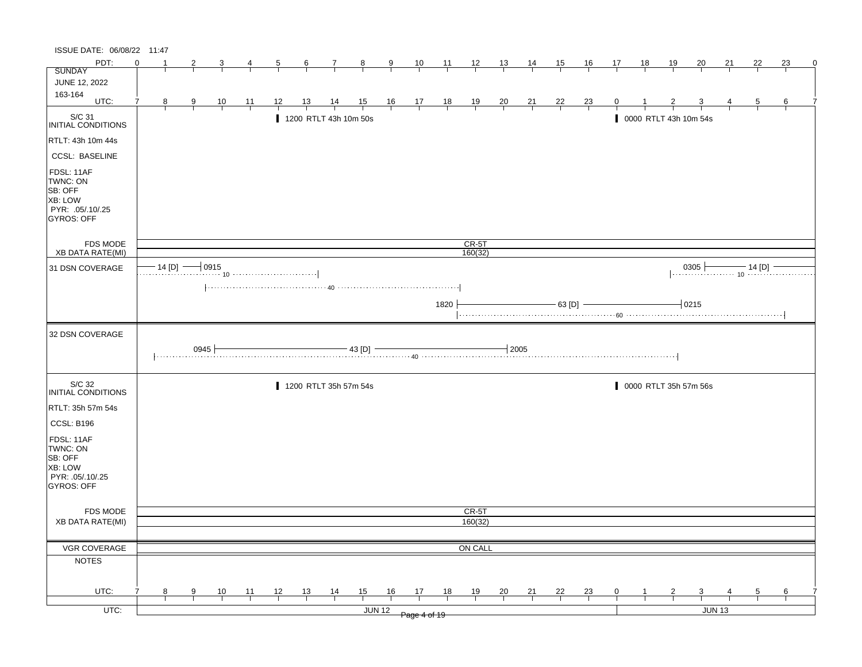| ISSUE DATE: 06/08/22 11:47                                                     |          |               |                |                |                |                |                |                                                                                                                                                                                                                                 |                |               |                                                      |                |                    |                |                |                |                |                |    |               |                                                                      |               |                |    |   |
|--------------------------------------------------------------------------------|----------|---------------|----------------|----------------|----------------|----------------|----------------|---------------------------------------------------------------------------------------------------------------------------------------------------------------------------------------------------------------------------------|----------------|---------------|------------------------------------------------------|----------------|--------------------|----------------|----------------|----------------|----------------|----------------|----|---------------|----------------------------------------------------------------------|---------------|----------------|----|---|
| PDT:                                                                           | $\Omega$ |               | 2              |                | 4              | $\overline{5}$ | $\frac{6}{ }$  | $\mathcal{I}$                                                                                                                                                                                                                   | $\frac{8}{ }$  | $\frac{9}{2}$ | $\frac{10}{1}$                                       | $\frac{11}{2}$ | $\frac{12}{ }$     | 13             | 14             | 15             | <u>16</u>      | 17             | 18 | <u>19</u>     | 20                                                                   | 21            | 22             | 23 | 0 |
| <b>SUNDAY</b>                                                                  |          |               |                |                |                |                |                |                                                                                                                                                                                                                                 |                |               |                                                      |                |                    |                |                |                |                |                |    |               |                                                                      |               |                |    |   |
| JUNE 12, 2022                                                                  |          |               |                |                |                |                |                |                                                                                                                                                                                                                                 |                |               |                                                      |                |                    |                |                |                |                |                |    |               |                                                                      |               |                |    |   |
| 163-164<br>UTC:                                                                | 7        | 8             | $\overline{9}$ | $\frac{10}{1}$ | $\frac{11}{1}$ | 12             | <u>13</u>      | $\frac{14}{1}$                                                                                                                                                                                                                  | $\frac{15}{1}$ |               | $\begin{array}{c c}\n16 & 17 \\ \hline\n\end{array}$ | $\frac{18}{1}$ | $\frac{19}{1}$     | $\frac{20}{1}$ | $\frac{21}{1}$ | $\frac{22}{ }$ | $\frac{23}{1}$ |                |    |               |                                                                      |               | $\overline{5}$ | 6  |   |
| S/C 31<br>INITIAL CONDITIONS                                                   |          |               |                |                |                |                |                | 1200 RTLT 43h 10m 50s                                                                                                                                                                                                           |                |               |                                                      |                |                    |                |                |                |                |                |    |               | 0000 RTLT 43h 10m 54s                                                |               |                |    |   |
| RTLT: 43h 10m 44s                                                              |          |               |                |                |                |                |                |                                                                                                                                                                                                                                 |                |               |                                                      |                |                    |                |                |                |                |                |    |               |                                                                      |               |                |    |   |
| <b>CCSL: BASELINE</b>                                                          |          |               |                |                |                |                |                |                                                                                                                                                                                                                                 |                |               |                                                      |                |                    |                |                |                |                |                |    |               |                                                                      |               |                |    |   |
| FDSL: 11AF<br>TWNC: ON<br>SB: OFF<br>XB: LOW<br>PYR: .05/.10/.25<br>GYROS: OFF |          |               |                |                |                |                |                |                                                                                                                                                                                                                                 |                |               |                                                      |                |                    |                |                |                |                |                |    |               |                                                                      |               |                |    |   |
| FDS MODE<br><b>XB DATA RATE(MI)</b>                                            |          |               |                |                |                |                |                |                                                                                                                                                                                                                                 |                |               |                                                      |                | $CR-5T$<br>160(32) |                |                |                |                |                |    |               |                                                                      |               |                |    |   |
|                                                                                |          | $-14$ [D] $-$ |                | $-10915$       |                |                |                |                                                                                                                                                                                                                                 |                |               |                                                      |                |                    |                |                |                |                |                |    |               |                                                                      |               |                |    |   |
| 31 DSN COVERAGE                                                                |          |               |                |                |                |                |                |                                                                                                                                                                                                                                 |                |               |                                                      |                |                    |                |                |                |                |                |    |               | $\begin{array}{c c c c c} \hline 0305 & 14 [D] & \hline \end{array}$ |               |                |    |   |
|                                                                                |          |               |                |                |                |                |                |                                                                                                                                                                                                                                 |                |               |                                                      |                |                    |                |                |                |                |                |    |               |                                                                      |               |                |    |   |
|                                                                                |          |               |                |                |                |                |                |                                                                                                                                                                                                                                 |                |               |                                                      | 1820           |                    |                |                | $-63$ [D] $-$  |                |                |    |               | $-0215$                                                              |               |                |    |   |
| 32 DSN COVERAGE                                                                |          |               |                |                |                |                |                |                                                                                                                                                                                                                                 |                |               |                                                      |                |                    |                |                |                |                |                |    |               |                                                                      |               |                |    |   |
|                                                                                |          |               | 0945           |                |                |                |                | العالم عن المستحدث المستحدث المستحدث المستحدث المستحدث المستحدث المستحدث المستحدث المستحدث المستحدث المستخدمات<br>المستخدمات المستخدمات المستخدمات المستخدمات المستخدمات المستخدمات المستخدمات المستخدمات المستخدمات المستخدمات | $-43$ [D] $-$  |               |                                                      |                |                    | $+2005$        |                |                |                |                |    |               |                                                                      |               |                |    |   |
| S/C 32<br>INITIAL CONDITIONS                                                   |          |               |                |                |                |                |                | 1200 RTLT 35h 57m 54s                                                                                                                                                                                                           |                |               |                                                      |                |                    |                |                |                |                |                |    |               | 0000 RTLT 35h 57m 56s                                                |               |                |    |   |
| RTLT: 35h 57m 54s                                                              |          |               |                |                |                |                |                |                                                                                                                                                                                                                                 |                |               |                                                      |                |                    |                |                |                |                |                |    |               |                                                                      |               |                |    |   |
| CCSL: B196                                                                     |          |               |                |                |                |                |                |                                                                                                                                                                                                                                 |                |               |                                                      |                |                    |                |                |                |                |                |    |               |                                                                      |               |                |    |   |
| FDSL: 11AF<br>TWNC: ON<br>SB: OFF<br>XB: LOW<br>PYR: 05/10/25<br>GYROS: OFF    |          |               |                |                |                |                |                |                                                                                                                                                                                                                                 |                |               |                                                      |                |                    |                |                |                |                |                |    |               |                                                                      |               |                |    |   |
| FDS MODE                                                                       |          |               |                |                |                |                |                |                                                                                                                                                                                                                                 |                |               |                                                      |                | CR-5T              |                |                |                |                |                |    |               |                                                                      |               |                |    |   |
| <b>XB DATA RATE(MI)</b>                                                        |          |               |                |                |                |                |                |                                                                                                                                                                                                                                 |                |               |                                                      |                | 160(32)            |                |                |                |                |                |    |               |                                                                      |               |                |    |   |
|                                                                                |          |               |                |                |                |                |                |                                                                                                                                                                                                                                 |                |               |                                                      |                |                    |                |                |                |                |                |    |               |                                                                      |               |                |    |   |
| VGR COVERAGE                                                                   |          |               |                |                |                |                |                |                                                                                                                                                                                                                                 |                |               |                                                      |                | ON CALL            |                |                |                |                |                |    |               |                                                                      |               |                |    |   |
| <b>NOTES</b>                                                                   |          |               |                |                |                |                |                |                                                                                                                                                                                                                                 |                |               |                                                      |                |                    |                |                |                |                |                |    |               |                                                                      |               |                |    |   |
|                                                                                |          |               |                |                |                |                |                |                                                                                                                                                                                                                                 |                |               |                                                      |                |                    |                |                |                |                |                |    |               |                                                                      |               |                |    |   |
| UTC:                                                                           |          | 8             | $\overline{9}$ |                |                |                |                |                                                                                                                                                                                                                                 |                | 16            |                                                      | 18             |                    |                |                |                |                | $\overline{0}$ |    | $\frac{2}{ }$ |                                                                      |               | $\overline{5}$ | 6  |   |
| $UTC$ :                                                                        |          |               |                | $\frac{10}{1}$ | $\frac{11}{1}$ | $\frac{12}{ }$ | $\frac{13}{ }$ | $\frac{14}{1}$                                                                                                                                                                                                                  | $\frac{15}{1}$ | JUN 12        | $\frac{17}{2}$<br>Page 4 of 19                       |                | $\frac{19}{1}$     | $\frac{20}{1}$ | $\frac{21}{1}$ | $\frac{22}{1}$ | $\frac{23}{1}$ |                |    |               | $\frac{3}{1}$                                                        | <b>JUN 13</b> |                |    |   |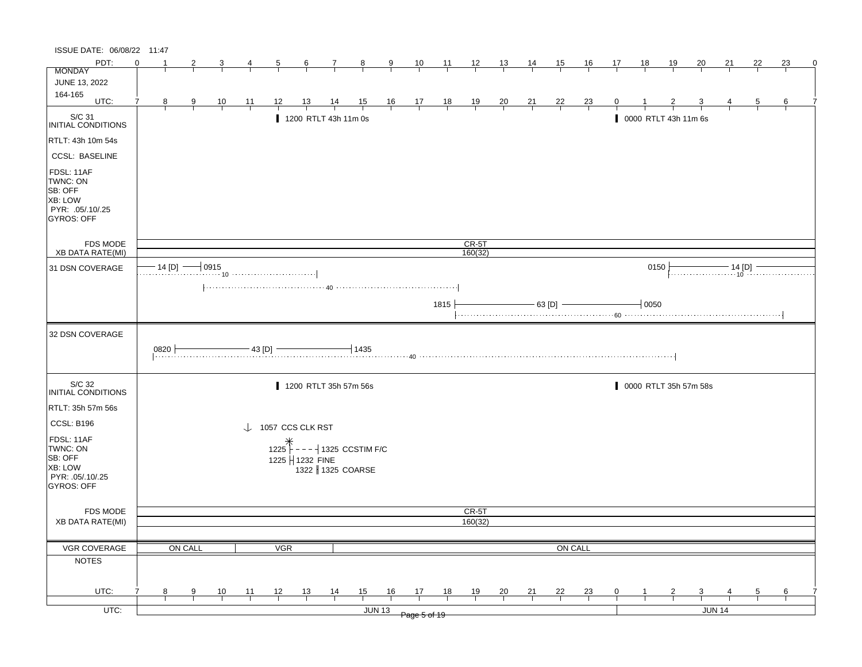| PDT:<br>$\Omega$<br>$\frac{10}{1}$<br>$\frac{12}{ }$<br>$\frac{13}{ }$<br><u>15</u><br><u>16</u><br><u>18</u><br><u> 19</u><br>22<br>23<br>$\frac{8}{ }$<br>$\frac{11}{1}$<br><u>14</u><br>17<br>20<br>21<br>2<br>3<br>$\frac{6}{ }$<br>$\mathcal{I}$<br>$\frac{9}{1}$<br><b>MONDAY</b><br>JUNE 13, 2022<br>164-165<br>UTC:<br>$\begin{array}{c cc} 16 & 17 & 18 \\ \hline &   &   &   \end{array}$<br>$\frac{13}{4}$<br>$\frac{14}{1}$<br>$\frac{15}{1}$<br>$\frac{19}{1}$<br>$\frac{20}{1}$<br>$\frac{22}{1}$<br>8 <sub>2</sub><br>$\frac{10}{1}$<br>$\frac{11}{1}$<br>$\frac{12}{1}$<br>$\frac{21}{1}$<br>$\frac{23}{1}$<br>$\overline{9}$<br>$\overline{5}$<br>6<br>S/C 31<br>1200 RTLT 43h 11m 0s<br>0000 RTLT 43h 11m 6s<br>INITIAL CONDITIONS<br>RTLT: 43h 10m 54s<br><b>CCSL: BASELINE</b><br>FDSL: 11AF<br>TWNC: ON<br>SB: OFF<br><b>XB: LOW</b><br>PYR: .05/.10/.25<br>GYROS: OFF<br>FDS MODE<br>$CR-5T$<br><b>XB DATA RATE(MI)</b><br>160(32)<br>$\cdot$ 14 [D] $\longrightarrow$ 0915<br>10<br>0150<br>$\frac{14 [D]}{10}$<br>31 DSN COVERAGE<br>- 63 [D] -<br>$-0050$<br>1815<br>32 DSN COVERAGE<br>$-43$ [D] $-$<br>$-1435$<br>0820<br>S/C 32<br>1200 RTLT 35h 57m 56s<br>0000 RTLT 35h 57m 58s<br>INITIAL CONDITIONS<br>RTLT: 35h 57m 56s<br>CCSL: B196<br>$\downarrow$ 1057 CCS CLK RST<br>FDSL: 11AF<br>1225<br>$- - -$ 1325 CCSTIM F/C<br>TWNC: ON<br>SB: OFF<br>1225   1232 FINE<br><b>XB: LOW</b><br>1322 1325 COARSE<br>PYR: .05/.10/.25<br><b>GYROS: OFF</b><br>FDS MODE<br>CR-5T<br>160(32)<br><b>XB DATA RATE(MI)</b><br>VGR COVERAGE<br>ON CALL<br>ON CALL<br><b>VGR</b><br><b>NOTES</b><br>UTC:<br>15<br>$\frac{16}{1}$<br>17<br>$\frac{10}{1}$<br>$\frac{11}{1}$<br>$\frac{12}{ }$<br><u>13</u><br>$\frac{14}{1}$<br><u>18</u><br>$\frac{19}{1}$<br>$\frac{20}{}$<br>$\frac{21}{1}$<br>$\frac{22}{1}$<br>$\frac{23}{1}$<br><u>3</u><br>$\frac{5}{}$<br>8<br>9<br>$\mathbf{0}$<br>$\frac{6}{1}$<br>$UTC$ :<br>JUN 14<br><b>JUN 13</b><br>Page 5 of 19 | ISSUE DATE: 06/08/22 11:47 |  |  |  |  |  |  |  |  |  |  |  |  |          |
|---------------------------------------------------------------------------------------------------------------------------------------------------------------------------------------------------------------------------------------------------------------------------------------------------------------------------------------------------------------------------------------------------------------------------------------------------------------------------------------------------------------------------------------------------------------------------------------------------------------------------------------------------------------------------------------------------------------------------------------------------------------------------------------------------------------------------------------------------------------------------------------------------------------------------------------------------------------------------------------------------------------------------------------------------------------------------------------------------------------------------------------------------------------------------------------------------------------------------------------------------------------------------------------------------------------------------------------------------------------------------------------------------------------------------------------------------------------------------------------------------------------------------------------------------------------------------------------------------------------------------------------------------------------------------------------------------------------------------------------------------------------------------------------------------------------------------------------------------------------------------------------------------------------------------------------------------------------------------------|----------------------------|--|--|--|--|--|--|--|--|--|--|--|--|----------|
|                                                                                                                                                                                                                                                                                                                                                                                                                                                                                                                                                                                                                                                                                                                                                                                                                                                                                                                                                                                                                                                                                                                                                                                                                                                                                                                                                                                                                                                                                                                                                                                                                                                                                                                                                                                                                                                                                                                                                                                 |                            |  |  |  |  |  |  |  |  |  |  |  |  | $\Omega$ |
|                                                                                                                                                                                                                                                                                                                                                                                                                                                                                                                                                                                                                                                                                                                                                                                                                                                                                                                                                                                                                                                                                                                                                                                                                                                                                                                                                                                                                                                                                                                                                                                                                                                                                                                                                                                                                                                                                                                                                                                 |                            |  |  |  |  |  |  |  |  |  |  |  |  |          |
|                                                                                                                                                                                                                                                                                                                                                                                                                                                                                                                                                                                                                                                                                                                                                                                                                                                                                                                                                                                                                                                                                                                                                                                                                                                                                                                                                                                                                                                                                                                                                                                                                                                                                                                                                                                                                                                                                                                                                                                 |                            |  |  |  |  |  |  |  |  |  |  |  |  |          |
|                                                                                                                                                                                                                                                                                                                                                                                                                                                                                                                                                                                                                                                                                                                                                                                                                                                                                                                                                                                                                                                                                                                                                                                                                                                                                                                                                                                                                                                                                                                                                                                                                                                                                                                                                                                                                                                                                                                                                                                 |                            |  |  |  |  |  |  |  |  |  |  |  |  |          |
|                                                                                                                                                                                                                                                                                                                                                                                                                                                                                                                                                                                                                                                                                                                                                                                                                                                                                                                                                                                                                                                                                                                                                                                                                                                                                                                                                                                                                                                                                                                                                                                                                                                                                                                                                                                                                                                                                                                                                                                 |                            |  |  |  |  |  |  |  |  |  |  |  |  |          |
|                                                                                                                                                                                                                                                                                                                                                                                                                                                                                                                                                                                                                                                                                                                                                                                                                                                                                                                                                                                                                                                                                                                                                                                                                                                                                                                                                                                                                                                                                                                                                                                                                                                                                                                                                                                                                                                                                                                                                                                 |                            |  |  |  |  |  |  |  |  |  |  |  |  |          |
|                                                                                                                                                                                                                                                                                                                                                                                                                                                                                                                                                                                                                                                                                                                                                                                                                                                                                                                                                                                                                                                                                                                                                                                                                                                                                                                                                                                                                                                                                                                                                                                                                                                                                                                                                                                                                                                                                                                                                                                 |                            |  |  |  |  |  |  |  |  |  |  |  |  |          |
|                                                                                                                                                                                                                                                                                                                                                                                                                                                                                                                                                                                                                                                                                                                                                                                                                                                                                                                                                                                                                                                                                                                                                                                                                                                                                                                                                                                                                                                                                                                                                                                                                                                                                                                                                                                                                                                                                                                                                                                 |                            |  |  |  |  |  |  |  |  |  |  |  |  |          |
|                                                                                                                                                                                                                                                                                                                                                                                                                                                                                                                                                                                                                                                                                                                                                                                                                                                                                                                                                                                                                                                                                                                                                                                                                                                                                                                                                                                                                                                                                                                                                                                                                                                                                                                                                                                                                                                                                                                                                                                 |                            |  |  |  |  |  |  |  |  |  |  |  |  |          |
|                                                                                                                                                                                                                                                                                                                                                                                                                                                                                                                                                                                                                                                                                                                                                                                                                                                                                                                                                                                                                                                                                                                                                                                                                                                                                                                                                                                                                                                                                                                                                                                                                                                                                                                                                                                                                                                                                                                                                                                 |                            |  |  |  |  |  |  |  |  |  |  |  |  |          |
|                                                                                                                                                                                                                                                                                                                                                                                                                                                                                                                                                                                                                                                                                                                                                                                                                                                                                                                                                                                                                                                                                                                                                                                                                                                                                                                                                                                                                                                                                                                                                                                                                                                                                                                                                                                                                                                                                                                                                                                 |                            |  |  |  |  |  |  |  |  |  |  |  |  |          |
|                                                                                                                                                                                                                                                                                                                                                                                                                                                                                                                                                                                                                                                                                                                                                                                                                                                                                                                                                                                                                                                                                                                                                                                                                                                                                                                                                                                                                                                                                                                                                                                                                                                                                                                                                                                                                                                                                                                                                                                 |                            |  |  |  |  |  |  |  |  |  |  |  |  |          |
|                                                                                                                                                                                                                                                                                                                                                                                                                                                                                                                                                                                                                                                                                                                                                                                                                                                                                                                                                                                                                                                                                                                                                                                                                                                                                                                                                                                                                                                                                                                                                                                                                                                                                                                                                                                                                                                                                                                                                                                 |                            |  |  |  |  |  |  |  |  |  |  |  |  |          |
|                                                                                                                                                                                                                                                                                                                                                                                                                                                                                                                                                                                                                                                                                                                                                                                                                                                                                                                                                                                                                                                                                                                                                                                                                                                                                                                                                                                                                                                                                                                                                                                                                                                                                                                                                                                                                                                                                                                                                                                 |                            |  |  |  |  |  |  |  |  |  |  |  |  |          |
|                                                                                                                                                                                                                                                                                                                                                                                                                                                                                                                                                                                                                                                                                                                                                                                                                                                                                                                                                                                                                                                                                                                                                                                                                                                                                                                                                                                                                                                                                                                                                                                                                                                                                                                                                                                                                                                                                                                                                                                 |                            |  |  |  |  |  |  |  |  |  |  |  |  |          |
|                                                                                                                                                                                                                                                                                                                                                                                                                                                                                                                                                                                                                                                                                                                                                                                                                                                                                                                                                                                                                                                                                                                                                                                                                                                                                                                                                                                                                                                                                                                                                                                                                                                                                                                                                                                                                                                                                                                                                                                 |                            |  |  |  |  |  |  |  |  |  |  |  |  |          |
|                                                                                                                                                                                                                                                                                                                                                                                                                                                                                                                                                                                                                                                                                                                                                                                                                                                                                                                                                                                                                                                                                                                                                                                                                                                                                                                                                                                                                                                                                                                                                                                                                                                                                                                                                                                                                                                                                                                                                                                 |                            |  |  |  |  |  |  |  |  |  |  |  |  |          |
|                                                                                                                                                                                                                                                                                                                                                                                                                                                                                                                                                                                                                                                                                                                                                                                                                                                                                                                                                                                                                                                                                                                                                                                                                                                                                                                                                                                                                                                                                                                                                                                                                                                                                                                                                                                                                                                                                                                                                                                 |                            |  |  |  |  |  |  |  |  |  |  |  |  |          |
|                                                                                                                                                                                                                                                                                                                                                                                                                                                                                                                                                                                                                                                                                                                                                                                                                                                                                                                                                                                                                                                                                                                                                                                                                                                                                                                                                                                                                                                                                                                                                                                                                                                                                                                                                                                                                                                                                                                                                                                 |                            |  |  |  |  |  |  |  |  |  |  |  |  |          |
|                                                                                                                                                                                                                                                                                                                                                                                                                                                                                                                                                                                                                                                                                                                                                                                                                                                                                                                                                                                                                                                                                                                                                                                                                                                                                                                                                                                                                                                                                                                                                                                                                                                                                                                                                                                                                                                                                                                                                                                 |                            |  |  |  |  |  |  |  |  |  |  |  |  |          |
|                                                                                                                                                                                                                                                                                                                                                                                                                                                                                                                                                                                                                                                                                                                                                                                                                                                                                                                                                                                                                                                                                                                                                                                                                                                                                                                                                                                                                                                                                                                                                                                                                                                                                                                                                                                                                                                                                                                                                                                 |                            |  |  |  |  |  |  |  |  |  |  |  |  |          |
|                                                                                                                                                                                                                                                                                                                                                                                                                                                                                                                                                                                                                                                                                                                                                                                                                                                                                                                                                                                                                                                                                                                                                                                                                                                                                                                                                                                                                                                                                                                                                                                                                                                                                                                                                                                                                                                                                                                                                                                 |                            |  |  |  |  |  |  |  |  |  |  |  |  |          |
|                                                                                                                                                                                                                                                                                                                                                                                                                                                                                                                                                                                                                                                                                                                                                                                                                                                                                                                                                                                                                                                                                                                                                                                                                                                                                                                                                                                                                                                                                                                                                                                                                                                                                                                                                                                                                                                                                                                                                                                 |                            |  |  |  |  |  |  |  |  |  |  |  |  |          |
|                                                                                                                                                                                                                                                                                                                                                                                                                                                                                                                                                                                                                                                                                                                                                                                                                                                                                                                                                                                                                                                                                                                                                                                                                                                                                                                                                                                                                                                                                                                                                                                                                                                                                                                                                                                                                                                                                                                                                                                 |                            |  |  |  |  |  |  |  |  |  |  |  |  |          |
|                                                                                                                                                                                                                                                                                                                                                                                                                                                                                                                                                                                                                                                                                                                                                                                                                                                                                                                                                                                                                                                                                                                                                                                                                                                                                                                                                                                                                                                                                                                                                                                                                                                                                                                                                                                                                                                                                                                                                                                 |                            |  |  |  |  |  |  |  |  |  |  |  |  |          |
|                                                                                                                                                                                                                                                                                                                                                                                                                                                                                                                                                                                                                                                                                                                                                                                                                                                                                                                                                                                                                                                                                                                                                                                                                                                                                                                                                                                                                                                                                                                                                                                                                                                                                                                                                                                                                                                                                                                                                                                 |                            |  |  |  |  |  |  |  |  |  |  |  |  |          |
|                                                                                                                                                                                                                                                                                                                                                                                                                                                                                                                                                                                                                                                                                                                                                                                                                                                                                                                                                                                                                                                                                                                                                                                                                                                                                                                                                                                                                                                                                                                                                                                                                                                                                                                                                                                                                                                                                                                                                                                 |                            |  |  |  |  |  |  |  |  |  |  |  |  |          |
|                                                                                                                                                                                                                                                                                                                                                                                                                                                                                                                                                                                                                                                                                                                                                                                                                                                                                                                                                                                                                                                                                                                                                                                                                                                                                                                                                                                                                                                                                                                                                                                                                                                                                                                                                                                                                                                                                                                                                                                 |                            |  |  |  |  |  |  |  |  |  |  |  |  |          |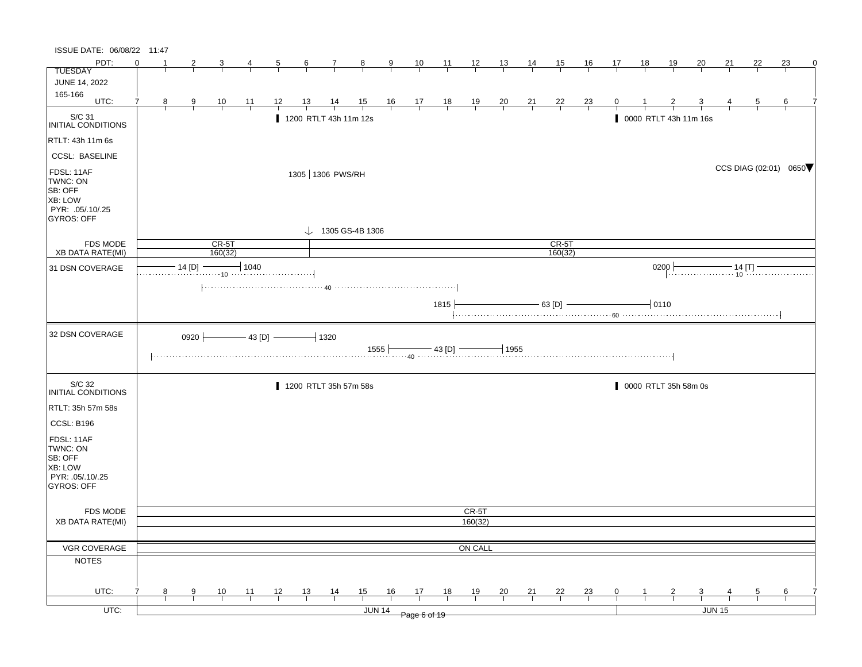| ISSUE DATE: 06/08/22 11:47                                                                   |          |                |               |                                                    |                |                |                 |                                                                                                                                      |                         |               |                |                |                |                |                |                    |                |                |    |                       |                         |                                                                                                                                                 |                |    |             |
|----------------------------------------------------------------------------------------------|----------|----------------|---------------|----------------------------------------------------|----------------|----------------|-----------------|--------------------------------------------------------------------------------------------------------------------------------------|-------------------------|---------------|----------------|----------------|----------------|----------------|----------------|--------------------|----------------|----------------|----|-----------------------|-------------------------|-------------------------------------------------------------------------------------------------------------------------------------------------|----------------|----|-------------|
| PDT:                                                                                         | $\Omega$ |                | 2             | 3                                                  | 4              | $\overline{5}$ | $6\overline{6}$ | $\overline{7}$                                                                                                                       | $\frac{8}{1}$           | 9             | $\frac{10}{1}$ | $\frac{11}{2}$ | $\frac{12}{1}$ | 13             | 14             | 15                 | 16             | 17             | 18 | <u>19</u>             | 20                      | 21                                                                                                                                              | 22             | 23 | $\mathbf 0$ |
| <b>TUESDAY</b>                                                                               |          |                |               |                                                    |                |                |                 |                                                                                                                                      |                         |               |                |                |                |                |                |                    |                |                |    |                       |                         |                                                                                                                                                 |                |    |             |
| <b>JUNE 14, 2022</b>                                                                         |          |                |               |                                                    |                |                |                 |                                                                                                                                      |                         |               |                |                |                |                |                |                    |                |                |    |                       |                         |                                                                                                                                                 |                |    |             |
| 165-166<br>UTC:                                                                              | 7        | 8 <sub>1</sub> | $\frac{9}{1}$ | $\frac{10}{1}$                                     | $\frac{11}{1}$ | 12             | $\frac{13}{ }$  | $\frac{14}{1}$                                                                                                                       |                         |               |                |                |                |                |                |                    |                | $\overline{0}$ |    |                       |                         |                                                                                                                                                 | $\overline{5}$ | 6  |             |
|                                                                                              |          |                |               |                                                    |                |                |                 |                                                                                                                                      | $\frac{15}{1}$ 16 17 18 |               |                |                | $\frac{19}{1}$ | $\frac{20}{1}$ | $\frac{21}{1}$ | $\frac{22}{1}$     | $\frac{23}{1}$ |                |    |                       |                         |                                                                                                                                                 |                |    |             |
| $\vert_{\mathsf{INITIAL~COMD} \vert \mathsf{TIONS}}$                                         |          |                |               |                                                    |                |                |                 | 1200 RTLT 43h 11m 12s                                                                                                                |                         |               |                |                |                |                |                |                    |                |                |    | 0000 RTLT 43h 11m 16s |                         |                                                                                                                                                 |                |    |             |
| RTLT: 43h 11m 6s                                                                             |          |                |               |                                                    |                |                |                 |                                                                                                                                      |                         |               |                |                |                |                |                |                    |                |                |    |                       |                         |                                                                                                                                                 |                |    |             |
| <b>CCSL: BASELINE</b>                                                                        |          |                |               |                                                    |                |                |                 |                                                                                                                                      |                         |               |                |                |                |                |                |                    |                |                |    |                       |                         |                                                                                                                                                 |                |    |             |
| FDSL: 11AF<br>TWNC: ON<br>SB: OFF<br><b>XB: LOW</b><br>PYR: .05/.10/.25<br><b>GYROS: OFF</b> |          |                |               |                                                    |                |                |                 | 1305 1306 PWS/RH<br>$\downarrow$ 1305 GS-4B 1306                                                                                     |                         |               |                |                |                |                |                |                    |                |                |    |                       |                         | CCS DIAG (02:01) 0650                                                                                                                           |                |    |             |
|                                                                                              |          |                |               |                                                    |                |                |                 |                                                                                                                                      |                         |               |                |                |                |                |                |                    |                |                |    |                       |                         |                                                                                                                                                 |                |    |             |
| <b>FDS MODE</b><br><b>XB DATA RATE(MI)</b>                                                   |          |                |               | $CR-5T$<br>160(32)                                 |                |                |                 |                                                                                                                                      |                         |               |                |                |                |                |                | $CR-5T$<br>160(32) |                |                |    |                       |                         |                                                                                                                                                 |                |    |             |
| 31 DSN COVERAGE                                                                              |          |                |               | 14 [D] $\longrightarrow$ 1040                      |                |                |                 |                                                                                                                                      |                         |               |                |                |                |                |                |                    |                |                |    | 0200                  |                         | 0 $\begin{array}{c} \hline \text{--} & \text{--} \\ \hline \text{--} & \text{--} \\ \text{--} & \text{--} \\ \text{--} & \text{--} \end{array}$ |                |    |             |
|                                                                                              |          |                |               |                                                    |                |                |                 | $\left[\ldots,\ldots,\ldots,\ldots,\ldots,\ldots,\ldots,\;40\;\ldots,\ldots,\ldots,\ldots,\ldots,\ldots,\ldots,\ldots,\ldots\right]$ |                         |               |                |                |                |                |                |                    |                |                |    |                       |                         |                                                                                                                                                 |                |    |             |
|                                                                                              |          |                |               |                                                    |                |                |                 |                                                                                                                                      |                         |               |                | 1815           |                |                |                | $-63$ [D] $-$      |                |                |    | $-10110$              |                         |                                                                                                                                                 |                |    |             |
| 32 DSN COVERAGE                                                                              |          |                |               | 0920 $\longleftarrow$ 43 [D] $\longleftarrow$ 1320 |                |                |                 | $\begin{array}{c c c c c c} & & \text{1555} & \text{43 [D]} & \text{---} \ \cdots \end{array}$                                       |                         |               |                |                |                | $-1955$        |                |                    |                |                |    |                       |                         |                                                                                                                                                 |                |    |             |
| S/C 32<br>INITIAL CONDITIONS                                                                 |          |                |               |                                                    |                |                |                 | 1200 RTLT 35h 57m 58s                                                                                                                |                         |               |                |                |                |                |                |                    |                |                |    | 0000 RTLT 35h 58m 0s  |                         |                                                                                                                                                 |                |    |             |
| RTLT: 35h 57m 58s                                                                            |          |                |               |                                                    |                |                |                 |                                                                                                                                      |                         |               |                |                |                |                |                |                    |                |                |    |                       |                         |                                                                                                                                                 |                |    |             |
| CCSL: B196                                                                                   |          |                |               |                                                    |                |                |                 |                                                                                                                                      |                         |               |                |                |                |                |                |                    |                |                |    |                       |                         |                                                                                                                                                 |                |    |             |
| FDSL: 11AF<br>TWNC: ON<br>SB: OFF<br><b>XB: LOW</b><br>PYR: .05/.10/.25<br>GYROS: OFF        |          |                |               |                                                    |                |                |                 |                                                                                                                                      |                         |               |                |                |                |                |                |                    |                |                |    |                       |                         |                                                                                                                                                 |                |    |             |
| FDS MODE                                                                                     |          |                |               |                                                    |                |                |                 |                                                                                                                                      |                         |               |                |                | CR-5T          |                |                |                    |                |                |    |                       |                         |                                                                                                                                                 |                |    |             |
| <b>XB DATA RATE(MI)</b>                                                                      |          |                |               |                                                    |                |                |                 |                                                                                                                                      |                         |               |                |                | 160(32)        |                |                |                    |                |                |    |                       |                         |                                                                                                                                                 |                |    |             |
|                                                                                              |          |                |               |                                                    |                |                |                 |                                                                                                                                      |                         |               |                |                |                |                |                |                    |                |                |    |                       |                         |                                                                                                                                                 |                |    |             |
| VGR COVERAGE                                                                                 |          |                |               |                                                    |                |                |                 |                                                                                                                                      |                         |               |                |                | ON CALL        |                |                |                    |                |                |    |                       |                         |                                                                                                                                                 |                |    |             |
| <b>NOTES</b>                                                                                 |          |                |               |                                                    |                |                |                 |                                                                                                                                      |                         |               |                |                |                |                |                |                    |                |                |    |                       |                         |                                                                                                                                                 |                |    |             |
| UTC:                                                                                         |          | 8              | 9             | 10                                                 | 11             | 12             | 13              | $\frac{14}{1}$                                                                                                                       | 15                      | 16            | 17             | 18             | 19             | $\frac{20}{1}$ | 21             | 22                 | $\frac{23}{1}$ | 0              | 1  | $\overline{2}$        | $\overline{\mathbf{3}}$ |                                                                                                                                                 | 5              | 6  |             |
|                                                                                              |          |                |               |                                                    |                |                |                 |                                                                                                                                      |                         |               |                |                |                |                |                |                    |                |                |    |                       |                         |                                                                                                                                                 |                |    |             |
| UTC:                                                                                         |          |                |               |                                                    |                |                |                 |                                                                                                                                      |                         | <b>JUN 14</b> | Page 6 of 19   |                |                |                |                |                    |                |                |    |                       |                         | JUN 15                                                                                                                                          |                |    |             |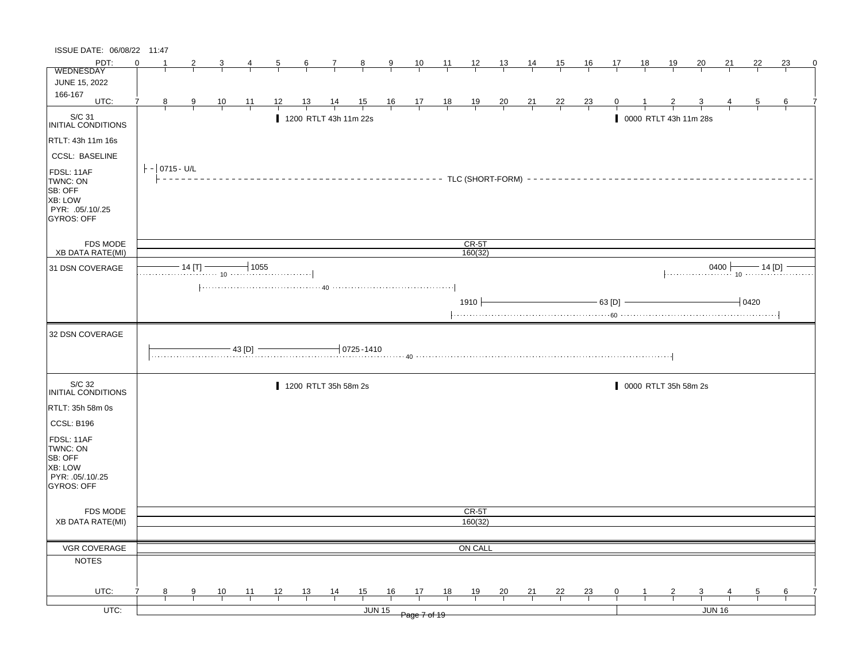| ISSUE DATE: 06/08/22 11:47                                                            |          |                 |               |                                  |                |                |           |                                                                                                                               |                                                                                             |               |              |                         |         |    |                |    |                                                          |                |    |                       |                         |        |                |    |   |
|---------------------------------------------------------------------------------------|----------|-----------------|---------------|----------------------------------|----------------|----------------|-----------|-------------------------------------------------------------------------------------------------------------------------------|---------------------------------------------------------------------------------------------|---------------|--------------|-------------------------|---------|----|----------------|----|----------------------------------------------------------|----------------|----|-----------------------|-------------------------|--------|----------------|----|---|
| PDT:                                                                                  | $\Omega$ |                 |               | 3                                | $\overline{4}$ | $\overline{5}$ | $6 \quad$ | $\frac{7}{ }$                                                                                                                 | 8                                                                                           | $\frac{9}{2}$ |              | $\frac{10}{1}$ 11 12 13 |         |    | $\frac{14}{1}$ | 15 | 16                                                       | 17             | 18 | <u>19</u>             | $\overline{20}$         | 21     | 22             | 23 | 0 |
| WEDNESDAY                                                                             |          |                 |               |                                  |                |                |           |                                                                                                                               |                                                                                             |               |              |                         |         |    |                |    |                                                          |                |    |                       |                         |        |                |    |   |
| JUNE 15, 2022                                                                         |          |                 |               |                                  |                |                |           |                                                                                                                               |                                                                                             |               |              |                         |         |    |                |    |                                                          |                |    |                       |                         |        |                |    |   |
| 166-167<br>UTC:                                                                       | 7        |                 |               |                                  |                |                |           |                                                                                                                               |                                                                                             |               |              |                         |         |    |                |    |                                                          |                |    |                       |                         |        |                |    |   |
|                                                                                       |          | 8               | $\frac{9}{1}$ | $\frac{10}{1}$                   | $\frac{11}{1}$ | 12             |           | $\frac{13}{1}$ $\frac{14}{1}$                                                                                                 | $\begin{array}{cccccccc} 15 & 16 & 17 & 18 & 19 & 20 \\ \hline & & & & & & & & \end{array}$ |               |              |                         |         |    |                |    | $\begin{array}{c cc} 21 & 22 & 23 \\ \hline \end{array}$ | $\overline{0}$ |    |                       |                         |        | $\overline{5}$ | 6  |   |
| S/C 31<br>INITIAL CONDITIONS                                                          |          |                 |               |                                  |                |                |           | 1200 RTLT 43h 11m 22s                                                                                                         |                                                                                             |               |              |                         |         |    |                |    |                                                          |                |    | 0000 RTLT 43h 11m 28s |                         |        |                |    |   |
| RTLT: 43h 11m 16s                                                                     |          |                 |               |                                  |                |                |           |                                                                                                                               |                                                                                             |               |              |                         |         |    |                |    |                                                          |                |    |                       |                         |        |                |    |   |
| <b>CCSL: BASELINE</b>                                                                 |          |                 |               |                                  |                |                |           |                                                                                                                               |                                                                                             |               |              |                         |         |    |                |    |                                                          |                |    |                       |                         |        |                |    |   |
| FDSL: 11AF<br>TWNC: ON<br>SB: OFF<br>XB: LOW<br>PYR: .05/.10/.25<br><b>GYROS: OFF</b> |          | $ -$ 0715 - U/L |               |                                  |                |                |           | ----------------------------- TLC (SHORT-FORM) --------------------------                                                     |                                                                                             |               |              |                         |         |    |                |    |                                                          |                |    |                       |                         |        |                |    |   |
| <b>FDS MODE</b>                                                                       |          |                 |               |                                  |                |                |           |                                                                                                                               |                                                                                             |               |              |                         | $CR-5T$ |    |                |    |                                                          |                |    |                       |                         |        |                |    |   |
| <b>XB DATA RATE(MI)</b>                                                               |          |                 |               |                                  |                |                |           |                                                                                                                               |                                                                                             |               |              |                         | 160(32) |    |                |    |                                                          |                |    |                       |                         |        |                |    |   |
| 31 DSN COVERAGE                                                                       |          |                 | $-14$ [T] $-$ | $\frac{14 \text{ [T]}}{10}$ 1055 |                |                |           |                                                                                                                               |                                                                                             |               |              |                         |         |    |                |    |                                                          |                |    |                       | $14$ [D] $-$ 14 [D] $-$ |        |                |    |   |
|                                                                                       |          |                 |               |                                  |                |                |           | $\left[\ldots,\ldots,\ldots,\ldots,\ldots,\ldots,\mu_0,\ldots,\ldots,\ldots,\ldots,\ldots,\ldots,\ldots,\ldots,\ldots\right]$ |                                                                                             |               |              |                         | 1910    |    |                |    | $- 63 [D]$                                               |                |    |                       |                         |        | $-0420$        |    |   |
| 32 DSN COVERAGE                                                                       |          |                 |               |                                  |                |                |           |                                                                                                                               |                                                                                             |               |              |                         |         |    |                |    |                                                          |                |    |                       |                         |        |                |    |   |
|                                                                                       |          |                 |               |                                  | - 43 [D]       |                |           |                                                                                                                               | $0725 - 1410$                                                                               |               |              |                         |         |    |                |    |                                                          |                |    |                       |                         |        |                |    |   |
| S/C 32<br>INITIAL CONDITIONS                                                          |          |                 |               |                                  |                |                |           | 1200 RTLT 35h 58m 2s                                                                                                          |                                                                                             |               |              |                         |         |    |                |    |                                                          |                |    | 0000 RTLT 35h 58m 2s  |                         |        |                |    |   |
| RTLT: 35h 58m 0s                                                                      |          |                 |               |                                  |                |                |           |                                                                                                                               |                                                                                             |               |              |                         |         |    |                |    |                                                          |                |    |                       |                         |        |                |    |   |
| CCSL: B196                                                                            |          |                 |               |                                  |                |                |           |                                                                                                                               |                                                                                             |               |              |                         |         |    |                |    |                                                          |                |    |                       |                         |        |                |    |   |
| FDSL: 11AF<br>TWNC: ON<br>SB: OFF<br>XB: LOW<br>PYR: .05/.10/.25<br>GYROS: OFF        |          |                 |               |                                  |                |                |           |                                                                                                                               |                                                                                             |               |              |                         |         |    |                |    |                                                          |                |    |                       |                         |        |                |    |   |
| <b>FDS MODE</b>                                                                       |          |                 |               |                                  |                |                |           |                                                                                                                               |                                                                                             |               |              |                         | CR-5T   |    |                |    |                                                          |                |    |                       |                         |        |                |    |   |
| <b>XB DATA RATE(MI)</b>                                                               |          |                 |               |                                  |                |                |           |                                                                                                                               |                                                                                             |               |              |                         | 160(32) |    |                |    |                                                          |                |    |                       |                         |        |                |    |   |
|                                                                                       |          |                 |               |                                  |                |                |           |                                                                                                                               |                                                                                             |               |              |                         |         |    |                |    |                                                          |                |    |                       |                         |        |                |    |   |
| <b>VGR COVERAGE</b>                                                                   |          |                 |               |                                  |                |                |           |                                                                                                                               |                                                                                             |               |              |                         | ON CALL |    |                |    |                                                          |                |    |                       |                         |        |                |    |   |
| <b>NOTES</b>                                                                          |          |                 |               |                                  |                |                |           |                                                                                                                               |                                                                                             |               |              |                         |         |    |                |    |                                                          |                |    |                       |                         |        |                |    |   |
|                                                                                       |          |                 |               |                                  |                |                |           |                                                                                                                               |                                                                                             |               |              |                         |         |    |                |    |                                                          |                |    |                       |                         |        |                |    |   |
| UTC:                                                                                  |          | 8               | 9             | 10                               | 11             | 12             | 13        | $\frac{14}{1}$                                                                                                                | 15                                                                                          | 16            | 17           | 18                      | 19      | 20 | 21             | 22 | 23                                                       | 0              |    | $\overline{2}$        | 3                       |        | 5              | 6  |   |
| UTC:                                                                                  |          |                 |               |                                  |                |                |           |                                                                                                                               | <b>JUN 15</b>                                                                               |               |              |                         |         |    |                |    |                                                          |                |    |                       |                         | JUN 16 |                |    |   |
|                                                                                       |          |                 |               |                                  |                |                |           |                                                                                                                               |                                                                                             |               | Page 7 of 19 |                         |         |    |                |    |                                                          |                |    |                       |                         |        |                |    |   |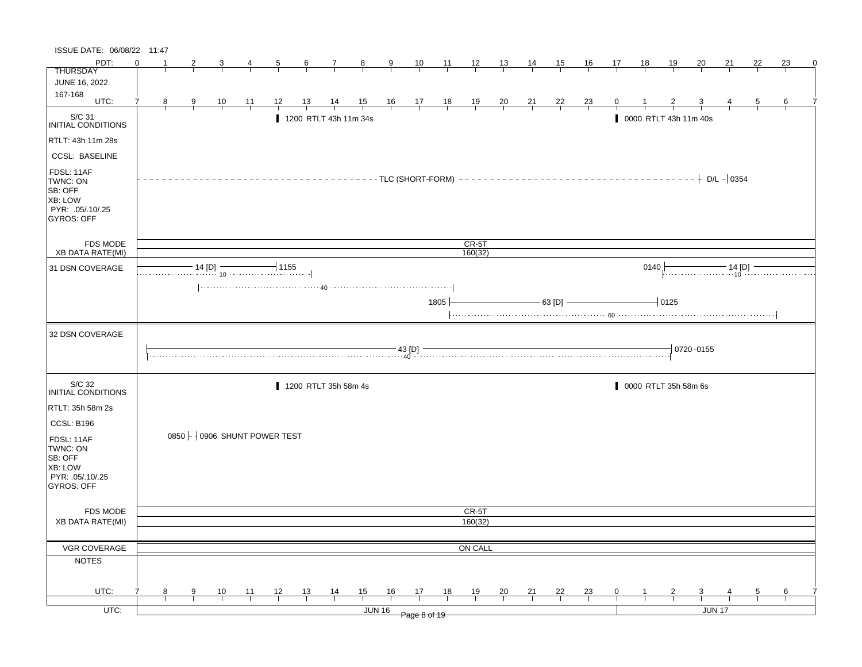| ISSUE DATE: 06/08/22 11:47                                                            |          |                |               |                |                |                                                                                                                                                                                                                                                                                                                                                                                                                                                                |                |                       |               |               |                      |                                                             |         |                |                |                                                               |           |                |      |                       |                 |    |                |                 |  |
|---------------------------------------------------------------------------------------|----------|----------------|---------------|----------------|----------------|----------------------------------------------------------------------------------------------------------------------------------------------------------------------------------------------------------------------------------------------------------------------------------------------------------------------------------------------------------------------------------------------------------------------------------------------------------------|----------------|-----------------------|---------------|---------------|----------------------|-------------------------------------------------------------|---------|----------------|----------------|---------------------------------------------------------------|-----------|----------------|------|-----------------------|-----------------|----|----------------|-----------------|--|
| PDT:                                                                                  | $\Omega$ |                |               | 3              | 4              | $\overline{5}$                                                                                                                                                                                                                                                                                                                                                                                                                                                 | $\frac{6}{ }$  | $\overline{7}$        | $\frac{8}{ }$ | $\frac{9}{ }$ |                      | $\frac{10}{1}$ $\frac{11}{1}$ $\frac{12}{1}$ $\frac{13}{1}$ |         |                | $\frac{14}{1}$ | 15                                                            | <u>16</u> | 17             | 18   | <u>19</u>             | $\overline{20}$ | 21 | 22             | 23              |  |
| <b>THURSDAY</b>                                                                       |          |                |               |                |                |                                                                                                                                                                                                                                                                                                                                                                                                                                                                |                |                       |               |               |                      |                                                             |         |                |                |                                                               |           |                |      |                       |                 |    |                |                 |  |
| <b>JUNE 16, 2022</b>                                                                  |          |                |               |                |                |                                                                                                                                                                                                                                                                                                                                                                                                                                                                |                |                       |               |               |                      |                                                             |         |                |                |                                                               |           |                |      |                       |                 |    |                |                 |  |
| 167-168<br>UTC:                                                                       | 7        | 8 <sub>1</sub> | $\frac{9}{1}$ | $\frac{10}{ }$ | $\frac{11}{1}$ | $\frac{12}{ }$                                                                                                                                                                                                                                                                                                                                                                                                                                                 | $\frac{13}{ }$ |                       |               |               | 14 15 16 17 18 19 20 |                                                             |         |                |                | $\begin{array}{cccc}\n 21 & 22 & 23 \\  \hline\n \end{array}$ |           | $\overline{0}$ |      |                       |                 |    | $\overline{5}$ | $6\overline{6}$ |  |
|                                                                                       |          |                |               |                |                |                                                                                                                                                                                                                                                                                                                                                                                                                                                                |                |                       |               |               |                      |                                                             |         |                |                |                                                               |           |                |      |                       |                 |    |                |                 |  |
| $\vert$ S/C 31<br>INITIAL CONDITIONS                                                  |          |                |               |                |                |                                                                                                                                                                                                                                                                                                                                                                                                                                                                |                | 1200 RTLT 43h 11m 34s |               |               |                      |                                                             |         |                |                |                                                               |           |                |      | 0000 RTLT 43h 11m 40s |                 |    |                |                 |  |
| RTLT: 43h 11m 28s                                                                     |          |                |               |                |                |                                                                                                                                                                                                                                                                                                                                                                                                                                                                |                |                       |               |               |                      |                                                             |         |                |                |                                                               |           |                |      |                       |                 |    |                |                 |  |
| <b>CCSL: BASELINE</b>                                                                 |          |                |               |                |                |                                                                                                                                                                                                                                                                                                                                                                                                                                                                |                |                       |               |               |                      |                                                             |         |                |                |                                                               |           |                |      |                       |                 |    |                |                 |  |
| FDSL: 11AF<br>TWNC: ON<br>SB: OFF<br>XB: LOW<br>PYR: .05/.10/.25<br><b>GYROS: OFF</b> |          |                |               |                |                |                                                                                                                                                                                                                                                                                                                                                                                                                                                                |                |                       |               |               |                      |                                                             |         |                |                |                                                               |           |                |      |                       |                 |    |                |                 |  |
| <b>FDS MODE</b>                                                                       |          |                |               |                |                |                                                                                                                                                                                                                                                                                                                                                                                                                                                                |                |                       |               |               |                      |                                                             | $CR-5T$ |                |                |                                                               |           |                |      |                       |                 |    |                |                 |  |
| <b>XB DATA RATE(MI)</b>                                                               |          |                |               |                |                |                                                                                                                                                                                                                                                                                                                                                                                                                                                                |                |                       |               |               |                      |                                                             | 160(32) |                |                |                                                               |           |                |      |                       |                 |    |                |                 |  |
| 31 DSN COVERAGE                                                                       |          |                |               |                |                | 14 [D] $\frac{14 [D]}{10}$ 1155                                                                                                                                                                                                                                                                                                                                                                                                                                |                |                       |               |               |                      |                                                             |         |                |                |                                                               |           |                | 0140 |                       |                 |    |                |                 |  |
|                                                                                       |          |                |               |                |                |                                                                                                                                                                                                                                                                                                                                                                                                                                                                |                |                       |               |               |                      | 1805                                                        |         |                |                | $-63$ [D] $-$                                                 |           |                |      | $-10125$              |                 |    |                |                 |  |
|                                                                                       |          |                |               |                |                |                                                                                                                                                                                                                                                                                                                                                                                                                                                                |                |                       |               |               |                      |                                                             |         |                |                |                                                               |           |                |      |                       |                 |    |                |                 |  |
| 32 DSN COVERAGE                                                                       |          |                |               |                |                | $\begin{array}{c} \textbf{--} \ \textbf{--} \ \textbf{--} \ \textbf{--} \ \textbf{--} \ \textbf{--} \ \textbf{--} \ \textbf{--} \ \textbf{--} \ \textbf{--} \ \textbf{--} \ \textbf{--} \ \textbf{--} \ \textbf{--} \ \textbf{--} \ \textbf{--} \ \textbf{--} \ \textbf{--} \ \textbf{--} \ \textbf{--} \ \textbf{--} \ \textbf{--} \ \textbf{--} \ \textbf{--} \ \textbf{--} \ \textbf{--} \ \textbf{--} \ \textbf{--} \ \textbf{--} \ \textbf{--} \ \textbf$ |                |                       |               |               |                      |                                                             |         |                |                |                                                               |           |                |      |                       | 0720-0155       |    |                |                 |  |
|                                                                                       |          |                |               |                |                |                                                                                                                                                                                                                                                                                                                                                                                                                                                                |                |                       |               |               |                      |                                                             |         |                |                |                                                               |           |                |      |                       |                 |    |                |                 |  |
| S/C 32<br>INITIAL CONDITIONS                                                          |          |                |               |                |                |                                                                                                                                                                                                                                                                                                                                                                                                                                                                |                | 1200 RTLT 35h 58m 4s  |               |               |                      |                                                             |         |                |                |                                                               |           |                |      | 0000 RTLT 35h 58m 6s  |                 |    |                |                 |  |
| RTLT: 35h 58m 2s                                                                      |          |                |               |                |                |                                                                                                                                                                                                                                                                                                                                                                                                                                                                |                |                       |               |               |                      |                                                             |         |                |                |                                                               |           |                |      |                       |                 |    |                |                 |  |
| CCSL: B196                                                                            |          |                |               |                |                |                                                                                                                                                                                                                                                                                                                                                                                                                                                                |                |                       |               |               |                      |                                                             |         |                |                |                                                               |           |                |      |                       |                 |    |                |                 |  |
| FDSL: 11AF<br>TWNC: ON<br>SB: OFF<br><b>XB: LOW</b><br>PYR: 05/10/25<br>GYROS: OFF    |          |                |               |                |                | 0850 $\frac{1}{2}$ 0906 SHUNT POWER TEST                                                                                                                                                                                                                                                                                                                                                                                                                       |                |                       |               |               |                      |                                                             |         |                |                |                                                               |           |                |      |                       |                 |    |                |                 |  |
| <b>FDS MODE</b>                                                                       |          |                |               |                |                |                                                                                                                                                                                                                                                                                                                                                                                                                                                                |                |                       |               |               |                      |                                                             | CR-5T   |                |                |                                                               |           |                |      |                       |                 |    |                |                 |  |
| <b>XB DATA RATE(MI)</b>                                                               |          |                |               |                |                |                                                                                                                                                                                                                                                                                                                                                                                                                                                                |                |                       |               |               |                      |                                                             | 160(32) |                |                |                                                               |           |                |      |                       |                 |    |                |                 |  |
|                                                                                       |          |                |               |                |                |                                                                                                                                                                                                                                                                                                                                                                                                                                                                |                |                       |               |               |                      |                                                             |         |                |                |                                                               |           |                |      |                       |                 |    |                |                 |  |
| <b>VGR COVERAGE</b>                                                                   |          |                |               |                |                |                                                                                                                                                                                                                                                                                                                                                                                                                                                                |                |                       |               |               |                      |                                                             | ON CALL |                |                |                                                               |           |                |      |                       |                 |    |                |                 |  |
| <b>NOTES</b>                                                                          |          |                |               |                |                |                                                                                                                                                                                                                                                                                                                                                                                                                                                                |                |                       |               |               |                      |                                                             |         |                |                |                                                               |           |                |      |                       |                 |    |                |                 |  |
|                                                                                       |          |                |               |                |                |                                                                                                                                                                                                                                                                                                                                                                                                                                                                |                |                       |               |               |                      |                                                             |         |                |                |                                                               |           |                |      |                       |                 |    |                |                 |  |
| UTC:                                                                                  |          | 8              | 9             | 10             | $-11$          | 12                                                                                                                                                                                                                                                                                                                                                                                                                                                             | 13             | $\frac{14}{1}$        | 15            | 16            | 17                   | 18                                                          | 19      | $\frac{20}{1}$ | 21             | 22                                                            | 23        | 0              |      |                       | 3               |    | 5              | 6               |  |
| UTC:                                                                                  |          |                |               |                |                |                                                                                                                                                                                                                                                                                                                                                                                                                                                                |                |                       |               | <b>JUN 16</b> | Page 8 of 19         |                                                             |         |                |                |                                                               |           |                |      |                       | JUN 17          |    |                |                 |  |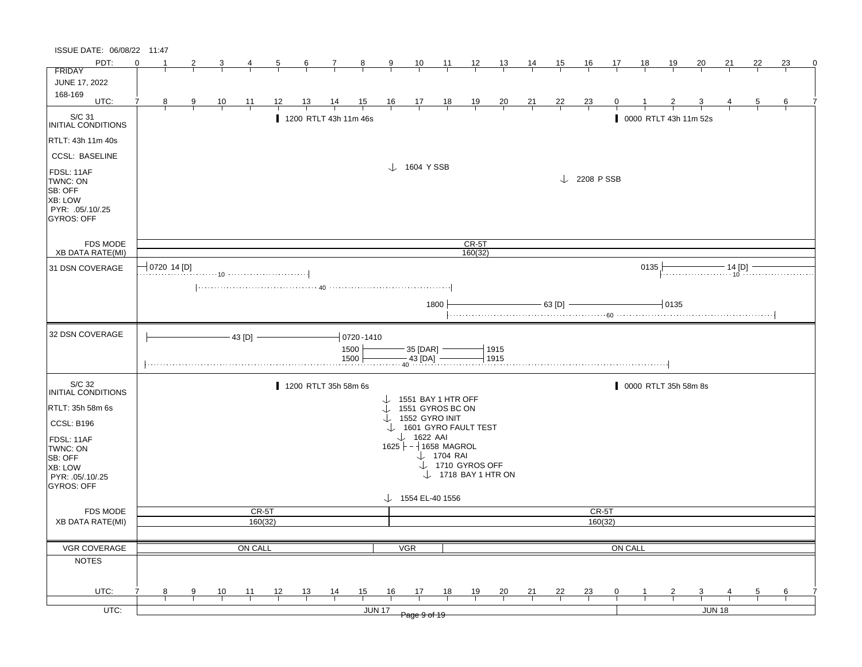| ISSUE DATE: 06/08/22 11:47                                                            |          |                                       |   |                |               |    |                       |                |                |                |                                        |                       |                                |               |                |                |                        |                |      |                       |                         |        |    |               |   |
|---------------------------------------------------------------------------------------|----------|---------------------------------------|---|----------------|---------------|----|-----------------------|----------------|----------------|----------------|----------------------------------------|-----------------------|--------------------------------|---------------|----------------|----------------|------------------------|----------------|------|-----------------------|-------------------------|--------|----|---------------|---|
| PDT:                                                                                  | $\Omega$ |                                       |   |                |               |    | 6                     | $\mathcal{I}$  | $\frac{8}{3}$  | 9              | $\frac{10}{1}$                         | $\overline{11}$       | $\frac{12}{ }$                 | 13            | 14             | 15             | 16                     | 17             | 18   | 19                    | 20                      | 21     | 22 | 23            | 0 |
| <b>FRIDAY</b>                                                                         |          |                                       |   |                |               |    |                       |                |                |                |                                        |                       |                                |               |                |                |                        |                |      |                       |                         |        |    |               |   |
| JUNE 17, 2022                                                                         |          |                                       |   |                |               |    |                       |                |                |                |                                        |                       |                                |               |                |                |                        |                |      |                       |                         |        |    |               |   |
| 168-169<br>UTC:                                                                       |          |                                       |   |                |               |    |                       |                |                |                |                                        |                       |                                |               |                |                |                        |                |      |                       |                         |        |    |               |   |
|                                                                                       |          | 8                                     | 9 | $\frac{10}{1}$ | 11            | 12 | <u>13</u>             | $\frac{14}{1}$ | 15             | $\frac{16}{1}$ | $\frac{17}{1}$                         | $\frac{18}{1}$        | $\frac{19}{1}$                 | $\frac{20}{}$ | $\frac{21}{1}$ | <u>22</u>      | $\frac{23}{}$          |                |      |                       |                         |        |    | 6             |   |
| S/C 31<br>INITIAL CONDITIONS                                                          |          |                                       |   |                |               |    | 1200 RTLT 43h 11m 46s |                |                |                |                                        |                       |                                |               |                |                |                        |                |      | 0000 RTLT 43h 11m 52s |                         |        |    |               |   |
| RTLT: 43h 11m 40s                                                                     |          |                                       |   |                |               |    |                       |                |                |                |                                        |                       |                                |               |                |                |                        |                |      |                       |                         |        |    |               |   |
| <b>CCSL: BASELINE</b>                                                                 |          |                                       |   |                |               |    |                       |                |                |                |                                        |                       |                                |               |                |                |                        |                |      |                       |                         |        |    |               |   |
| FDSL: 11AF<br>TWNC: ON<br>SB: OFF<br>XB: LOW<br>PYR: .05/.10/.25<br><b>GYROS: OFF</b> |          |                                       |   |                |               |    |                       |                |                |                | $\downarrow$ 1604 YSSB                 |                       |                                |               |                |                | $\downarrow$ 2208 PSSB |                |      |                       |                         |        |    |               |   |
| <b>FDS MODE</b>                                                                       |          |                                       |   |                |               |    |                       |                |                |                |                                        |                       | CR-5T                          |               |                |                |                        |                |      |                       |                         |        |    |               |   |
| <b>XB DATA RATE(MI)</b>                                                               |          |                                       |   |                |               |    |                       |                |                |                |                                        |                       | 160(32)                        |               |                |                |                        |                |      |                       |                         |        |    |               |   |
| 31 DSN COVERAGE                                                                       |          | $\overline{\phantom{x}}$ (0720 14 [D] |   |                |               |    |                       |                |                |                |                                        |                       |                                |               |                |                |                        |                | 0135 |                       | .                       |        |    |               |   |
|                                                                                       |          |                                       |   |                |               |    |                       |                |                |                |                                        |                       |                                |               |                |                |                        |                |      |                       |                         |        |    |               |   |
|                                                                                       |          |                                       |   |                |               |    |                       |                |                |                |                                        |                       |                                |               |                |                |                        |                |      |                       |                         |        |    |               |   |
|                                                                                       |          |                                       |   |                |               |    |                       |                |                |                |                                        | 1800                  |                                |               |                | - 63 [D] -     |                        |                |      | 10135                 |                         |        |    |               |   |
|                                                                                       |          |                                       |   |                |               |    |                       |                |                |                |                                        |                       |                                |               |                |                |                        |                |      |                       |                         |        |    |               |   |
| 32 DSN COVERAGE                                                                       |          |                                       |   |                | $-43$ [D] $-$ |    |                       |                | $-0720 - 1410$ |                |                                        |                       |                                |               |                |                |                        |                |      |                       |                         |        |    |               |   |
|                                                                                       |          |                                       |   |                |               |    |                       |                | 1500           |                | $-35$ [DAR] $-$                        |                       |                                | 1915          |                |                |                        |                |      |                       |                         |        |    |               |   |
|                                                                                       |          |                                       |   |                |               |    |                       |                | 1500           |                | $-43$ [DA] -                           |                       |                                | 1915          |                |                |                        |                |      |                       |                         |        |    |               |   |
|                                                                                       |          |                                       |   |                |               |    |                       |                |                |                |                                        |                       |                                |               |                |                |                        |                |      |                       |                         |        |    |               |   |
| S/C 32                                                                                |          |                                       |   |                |               |    |                       |                |                |                |                                        |                       |                                |               |                |                |                        |                |      |                       |                         |        |    |               |   |
| <b>INITIAL CONDITIONS</b>                                                             |          |                                       |   |                |               |    | 1200 RTLT 35h 58m 6s  |                |                |                |                                        |                       |                                |               |                |                |                        |                |      | 0000 RTLT 35h 58m 8s  |                         |        |    |               |   |
| RTLT: 35h 58m 6s                                                                      |          |                                       |   |                |               |    |                       |                |                |                | 1551 BAY 1 HTR OFF<br>1551 GYROS BC ON |                       |                                |               |                |                |                        |                |      |                       |                         |        |    |               |   |
|                                                                                       |          |                                       |   |                |               |    |                       |                |                |                | $\downarrow$ 1552 GYRO INIT            |                       |                                |               |                |                |                        |                |      |                       |                         |        |    |               |   |
| CCSL: B196                                                                            |          |                                       |   |                |               |    |                       |                |                |                | 1601 GYRO FAULT TEST                   |                       |                                |               |                |                |                        |                |      |                       |                         |        |    |               |   |
| FDSL: 11AF                                                                            |          |                                       |   |                |               |    |                       |                |                |                | $\downarrow$ 1622 AAI                  |                       |                                |               |                |                |                        |                |      |                       |                         |        |    |               |   |
| TWNC: ON                                                                              |          |                                       |   |                |               |    |                       |                |                |                | $1625$ - $-1658$ MAGROL                |                       |                                |               |                |                |                        |                |      |                       |                         |        |    |               |   |
| SB: OFF                                                                               |          |                                       |   |                |               |    |                       |                |                |                |                                        | $\downarrow$ 1704 RAI | $\downarrow$ 1710 GYROS OFF    |               |                |                |                        |                |      |                       |                         |        |    |               |   |
| XB: LOW<br>PYR: .05/.10/.25                                                           |          |                                       |   |                |               |    |                       |                |                |                |                                        |                       | $\downarrow$ 1718 BAY 1 HTR ON |               |                |                |                        |                |      |                       |                         |        |    |               |   |
| <b>GYROS: OFF</b>                                                                     |          |                                       |   |                |               |    |                       |                |                |                |                                        |                       |                                |               |                |                |                        |                |      |                       |                         |        |    |               |   |
|                                                                                       |          |                                       |   |                |               |    |                       |                |                |                | $\downarrow$ 1554 EL-40 1556           |                       |                                |               |                |                |                        |                |      |                       |                         |        |    |               |   |
| <b>FDS MODE</b>                                                                       |          |                                       |   |                | CR-5T         |    |                       |                |                |                |                                        |                       |                                |               |                |                | CR-5T                  |                |      |                       |                         |        |    |               |   |
| <b>XB DATA RATE(MI)</b>                                                               |          |                                       |   |                | 160(32)       |    |                       |                |                |                |                                        |                       |                                |               |                |                | 160(32)                |                |      |                       |                         |        |    |               |   |
|                                                                                       |          |                                       |   |                |               |    |                       |                |                |                |                                        |                       |                                |               |                |                |                        |                |      |                       |                         |        |    |               |   |
| VGR COVERAGE                                                                          |          |                                       |   |                | ON CALL       |    |                       |                |                |                | <b>VGR</b>                             |                       |                                |               |                |                |                        | <b>ON CALL</b> |      |                       |                         |        |    |               |   |
| <b>NOTES</b>                                                                          |          |                                       |   |                |               |    |                       |                |                |                |                                        |                       |                                |               |                |                |                        |                |      |                       |                         |        |    |               |   |
|                                                                                       |          |                                       |   |                |               |    |                       |                |                |                |                                        |                       |                                |               |                |                |                        |                |      |                       |                         |        |    |               |   |
|                                                                                       |          |                                       |   |                |               |    |                       |                |                |                |                                        |                       |                                |               |                |                |                        |                |      |                       |                         |        |    |               |   |
| UTC:                                                                                  |          | 8                                     | 9 | $\frac{10}{1}$ | <u> 11 </u>   | 12 | $\frac{13}{ }$        | $\frac{14}{1}$ | 15             | 16             | 17                                     | <u>18</u>             | <u>19</u>                      | $\frac{20}{}$ | $\frac{21}{1}$ | $\frac{22}{1}$ | $\frac{23}{1}$         | $\mathbf 0$    |      |                       | $\overline{\mathbf{3}}$ |        |    | $\frac{6}{ }$ |   |
|                                                                                       |          |                                       |   |                |               |    |                       |                |                |                |                                        |                       |                                |               |                |                |                        |                |      |                       |                         |        |    |               |   |
| $UTC$ :                                                                               |          |                                       |   |                |               |    |                       |                |                | <b>JUN 17</b>  | Page 9 of 19                           |                       |                                |               |                |                |                        |                |      |                       |                         | JUN 18 |    |               |   |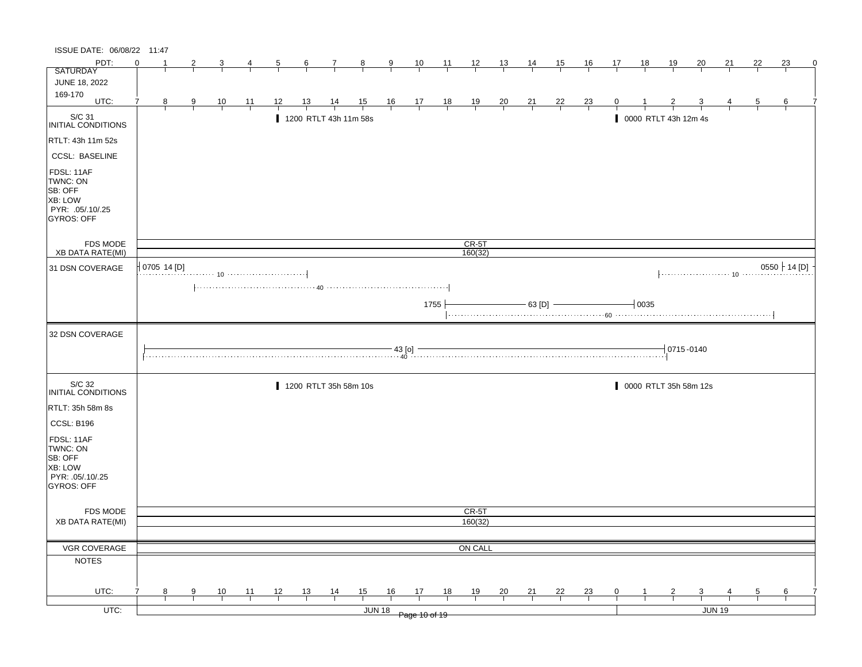| ISSUE DATE: 06/08/22 11:47                                                                |          |             |   |                |                |                |                |                       |                                                                                                                                                                                                                                                                                                                                                                    |                      |                               |                |                |                |                |                |                |                |           |                           |                         |               |                |                 |   |
|-------------------------------------------------------------------------------------------|----------|-------------|---|----------------|----------------|----------------|----------------|-----------------------|--------------------------------------------------------------------------------------------------------------------------------------------------------------------------------------------------------------------------------------------------------------------------------------------------------------------------------------------------------------------|----------------------|-------------------------------|----------------|----------------|----------------|----------------|----------------|----------------|----------------|-----------|---------------------------|-------------------------|---------------|----------------|-----------------|---|
| PDT:                                                                                      | $\Omega$ |             | 2 |                |                | $\mathbf{p}$   | $\frac{6}{6}$  | $\mathbf{7}$          | $\frac{8}{ }$                                                                                                                                                                                                                                                                                                                                                      | $\frac{9}{4}$        | $\frac{10}{ }$                | $\frac{11}{2}$ | $\frac{12}{ }$ | $\frac{13}{2}$ | $\frac{14}{1}$ | 15             | $\frac{16}{1}$ | 17             | <u>18</u> | <u>19</u>                 | <u>20</u>               | 21            | 22             | 23              | 0 |
| <b>SATURDAY</b>                                                                           |          |             |   |                |                |                |                |                       |                                                                                                                                                                                                                                                                                                                                                                    |                      |                               |                |                |                |                |                |                |                |           |                           |                         |               |                |                 |   |
| JUNE 18, 2022                                                                             |          |             |   |                |                |                |                |                       |                                                                                                                                                                                                                                                                                                                                                                    |                      |                               |                |                |                |                |                |                |                |           |                           |                         |               |                |                 |   |
| 169-170<br>UTC:                                                                           |          | 8           | 9 | $\frac{10}{1}$ | $\frac{11}{1}$ | <u> 12 </u>    | <u>13</u>      | $\frac{14}{1}$        | $\frac{15}{1}$                                                                                                                                                                                                                                                                                                                                                     |                      | $\frac{16}{1}$ $\frac{17}{1}$ | $\frac{18}{1}$ | $\frac{19}{1}$ | $\frac{20}{1}$ | $\frac{21}{1}$ | $\frac{22}{1}$ | $\frac{23}{1}$ |                |           |                           |                         |               | $\overline{5}$ | 6               |   |
|                                                                                           |          |             |   |                |                |                |                |                       |                                                                                                                                                                                                                                                                                                                                                                    |                      |                               |                |                |                |                |                |                |                |           |                           |                         |               |                |                 |   |
| S/C 31<br>INITIAL CONDITIONS                                                              |          |             |   |                |                |                |                | 1200 RTLT 43h 11m 58s |                                                                                                                                                                                                                                                                                                                                                                    |                      |                               |                |                |                |                |                |                |                |           | 0000 RTLT 43h 12m 4s      |                         |               |                |                 |   |
| RTLT: 43h 11m 52s                                                                         |          |             |   |                |                |                |                |                       |                                                                                                                                                                                                                                                                                                                                                                    |                      |                               |                |                |                |                |                |                |                |           |                           |                         |               |                |                 |   |
| <b>CCSL: BASELINE</b>                                                                     |          |             |   |                |                |                |                |                       |                                                                                                                                                                                                                                                                                                                                                                    |                      |                               |                |                |                |                |                |                |                |           |                           |                         |               |                |                 |   |
| FDSL: 11AF<br>TWNC: ON<br>SB: OFF<br>XB: LOW<br>PYR: .05/.10/.25<br>GYROS: OFF            |          |             |   |                |                |                |                |                       |                                                                                                                                                                                                                                                                                                                                                                    |                      |                               |                |                |                |                |                |                |                |           |                           |                         |               |                |                 |   |
| FDS MODE                                                                                  |          |             |   |                |                |                |                |                       |                                                                                                                                                                                                                                                                                                                                                                    |                      |                               |                | $CR-5T$        |                |                |                |                |                |           |                           |                         |               |                |                 |   |
| <b>XB DATA RATE(MI)</b>                                                                   |          |             |   |                |                |                |                |                       |                                                                                                                                                                                                                                                                                                                                                                    |                      |                               |                | 160(32)        |                |                |                |                |                |           |                           |                         |               |                |                 |   |
| 31 DSN COVERAGE                                                                           |          | 0705 14 [D] |   |                |                |                |                |                       |                                                                                                                                                                                                                                                                                                                                                                    |                      |                               |                |                |                |                |                |                |                |           |                           |                         |               |                | $0550$ + 14 [D] |   |
|                                                                                           |          |             |   |                |                |                |                |                       |                                                                                                                                                                                                                                                                                                                                                                    |                      |                               | 1755           |                |                | $-$ 63 [D] $-$ |                |                |                | $+0035$   |                           |                         |               |                |                 |   |
|                                                                                           |          |             |   |                |                |                |                |                       |                                                                                                                                                                                                                                                                                                                                                                    |                      |                               |                |                |                |                |                |                |                |           |                           |                         |               |                |                 |   |
| 32 DSN COVERAGE                                                                           |          |             |   |                |                |                |                |                       | $\begin{picture}(180,10) \put(0,0){\vector(1,0){100}} \put(10,0){\vector(1,0){100}} \put(10,0){\vector(1,0){100}} \put(10,0){\vector(1,0){100}} \put(10,0){\vector(1,0){100}} \put(10,0){\vector(1,0){100}} \put(10,0){\vector(1,0){100}} \put(10,0){\vector(1,0){100}} \put(10,0){\vector(1,0){100}} \put(10,0){\vector(1,0){100}} \put(10,0){\vector(1,0){100}}$ |                      |                               |                |                |                |                |                |                |                |           | $\frac{1}{2}$ 0715 - 0140 |                         |               |                |                 |   |
| S/C 32<br>INITIAL CONDITIONS                                                              |          |             |   |                |                |                |                | 1200 RTLT 35h 58m 10s |                                                                                                                                                                                                                                                                                                                                                                    |                      |                               |                |                |                |                |                |                |                |           |                           | 0000 RTLT 35h 58m 12s   |               |                |                 |   |
| RTLT: 35h 58m 8s                                                                          |          |             |   |                |                |                |                |                       |                                                                                                                                                                                                                                                                                                                                                                    |                      |                               |                |                |                |                |                |                |                |           |                           |                         |               |                |                 |   |
| CCSL: B196                                                                                |          |             |   |                |                |                |                |                       |                                                                                                                                                                                                                                                                                                                                                                    |                      |                               |                |                |                |                |                |                |                |           |                           |                         |               |                |                 |   |
| FDSL: 11AF<br>TWNC: ON<br>SB: OFF<br><b>XB: LOW</b><br>PYR: 05/10/25<br><b>GYROS: OFF</b> |          |             |   |                |                |                |                |                       |                                                                                                                                                                                                                                                                                                                                                                    |                      |                               |                |                |                |                |                |                |                |           |                           |                         |               |                |                 |   |
| FDS MODE                                                                                  |          |             |   |                |                |                |                |                       |                                                                                                                                                                                                                                                                                                                                                                    |                      |                               |                | CR-5T          |                |                |                |                |                |           |                           |                         |               |                |                 |   |
| <b>XB DATA RATE(MI)</b>                                                                   |          |             |   |                |                |                |                |                       |                                                                                                                                                                                                                                                                                                                                                                    |                      |                               |                | 160(32)        |                |                |                |                |                |           |                           |                         |               |                |                 |   |
|                                                                                           |          |             |   |                |                |                |                |                       |                                                                                                                                                                                                                                                                                                                                                                    |                      |                               |                |                |                |                |                |                |                |           |                           |                         |               |                |                 |   |
| VGR COVERAGE                                                                              |          |             |   |                |                |                |                |                       |                                                                                                                                                                                                                                                                                                                                                                    |                      |                               |                | ON CALL        |                |                |                |                |                |           |                           |                         |               |                |                 |   |
| <b>NOTES</b>                                                                              |          |             |   |                |                |                |                |                       |                                                                                                                                                                                                                                                                                                                                                                    |                      |                               |                |                |                |                |                |                |                |           |                           |                         |               |                |                 |   |
| UTC:                                                                                      |          | 8           | 9 | $\frac{10}{ }$ | $\frac{11}{1}$ | $\frac{12}{ }$ | $\frac{13}{ }$ | $\frac{14}{1}$        | 15                                                                                                                                                                                                                                                                                                                                                                 | 16                   | 17                            | 18             | $\frac{19}{1}$ | $\frac{20}{1}$ | $\frac{21}{1}$ | $\frac{22}{1}$ | $\frac{23}{ }$ | $\overline{0}$ |           | $\overline{z}$            | $\overline{\mathbf{3}}$ |               | $\overline{5}$ | 6               |   |
|                                                                                           |          |             |   |                |                |                |                |                       |                                                                                                                                                                                                                                                                                                                                                                    |                      |                               |                |                |                |                |                |                |                |           |                           |                         |               |                |                 |   |
| $UTC$ :                                                                                   |          |             |   |                |                |                |                |                       |                                                                                                                                                                                                                                                                                                                                                                    | JUN 18 Page 10 of 19 |                               |                |                |                |                |                |                |                |           |                           |                         | <b>JUN 19</b> |                |                 |   |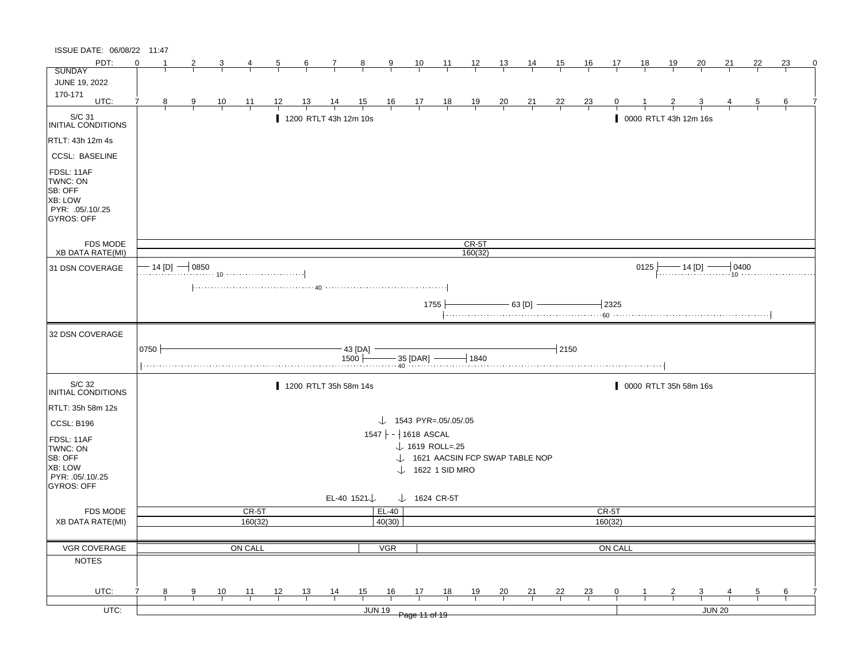| ISSUE DATE: 06/08/22 11:47                                                                   |          |   |                     |                |                |                |                |                             |                         |                                   |                         |                             |                |                                |                |                |                |         |           |            |                       |        |    |    |          |
|----------------------------------------------------------------------------------------------|----------|---|---------------------|----------------|----------------|----------------|----------------|-----------------------------|-------------------------|-----------------------------------|-------------------------|-----------------------------|----------------|--------------------------------|----------------|----------------|----------------|---------|-----------|------------|-----------------------|--------|----|----|----------|
| PDT:                                                                                         | $\Omega$ |   |                     |                |                | $\overline{5}$ | $\frac{6}{ }$  | $\mathcal{I}$               | $\frac{8}{1}$           | $\overline{9}$                    | $\frac{10}{1}$          | $\frac{11}{1}$              | $\frac{12}{ }$ | $\frac{13}{2}$                 | $\frac{14}{1}$ | <u>15</u>      | <u>16</u>      | 17      | <u>18</u> | <u> 19</u> | 20                    | 21     | 22 | 23 | $\Omega$ |
| <b>SUNDAY</b>                                                                                |          |   |                     |                |                |                |                |                             |                         |                                   |                         |                             |                |                                |                |                |                |         |           |            |                       |        |    |    |          |
| JUNE 19, 2022                                                                                |          |   |                     |                |                |                |                |                             |                         |                                   |                         |                             |                |                                |                |                |                |         |           |            |                       |        |    |    |          |
| 170-171<br>UTC:                                                                              |          | 8 | 9                   | $\frac{10}{1}$ | $\frac{11}{1}$ | <u> 12  </u>   | <u>13</u>      | $\frac{14}{1}$              | $\frac{15}{1}$          |                                   | $\frac{16}{1}$ 17 18    |                             | $\frac{19}{1}$ | $\frac{20}{}$                  | $\frac{21}{1}$ | $\frac{22}{1}$ | $\frac{23}{}$  |         |           |            |                       |        |    | 6  |          |
|                                                                                              |          |   |                     |                |                |                |                |                             |                         |                                   |                         |                             |                |                                |                |                |                |         |           |            |                       |        |    |    |          |
| S/C 31<br>INITIAL CONDITIONS                                                                 |          |   |                     |                |                |                |                | 1200 RTLT 43h 12m 10s       |                         |                                   |                         |                             |                |                                |                |                |                |         |           |            | 0000 RTLT 43h 12m 16s |        |    |    |          |
| RTLT: 43h 12m 4s                                                                             |          |   |                     |                |                |                |                |                             |                         |                                   |                         |                             |                |                                |                |                |                |         |           |            |                       |        |    |    |          |
| <b>CCSL: BASELINE</b>                                                                        |          |   |                     |                |                |                |                |                             |                         |                                   |                         |                             |                |                                |                |                |                |         |           |            |                       |        |    |    |          |
| FDSL: 11AF<br>TWNC: ON<br>SB: OFF<br><b>XB: LOW</b><br>PYR: .05/.10/.25<br><b>GYROS: OFF</b> |          |   |                     |                |                |                |                |                             |                         |                                   |                         |                             |                |                                |                |                |                |         |           |            |                       |        |    |    |          |
| <b>FDS MODE</b>                                                                              |          |   |                     |                |                |                |                |                             |                         |                                   |                         |                             | CR-5T          |                                |                |                |                |         |           |            |                       |        |    |    |          |
| <b>XB DATA RATE(MI)</b>                                                                      |          |   |                     |                |                |                |                |                             |                         |                                   |                         |                             | 160(32)        |                                |                |                |                |         |           |            |                       |        |    |    |          |
| 31 DSN COVERAGE                                                                              |          |   | $-$ 14 [D] $-$ 0850 |                |                |                |                |                             |                         |                                   |                         |                             |                |                                |                |                |                |         | 0125      |            |                       |        |    |    |          |
|                                                                                              |          |   |                     |                |                |                |                |                             |                         |                                   |                         |                             |                |                                |                |                |                |         |           |            |                       |        |    |    |          |
|                                                                                              |          |   |                     |                |                |                |                |                             |                         |                                   |                         | 1755                        |                |                                | $-$ 63 [D] $-$ |                |                | $-2325$ |           |            |                       |        |    |    |          |
|                                                                                              |          |   |                     |                |                |                |                |                             |                         |                                   |                         |                             |                |                                |                |                |                |         |           |            |                       |        |    |    |          |
| 32 DSN COVERAGE                                                                              |          |   |                     |                |                |                |                |                             |                         |                                   |                         |                             |                |                                |                |                |                |         |           |            |                       |        |    |    |          |
|                                                                                              | 0750     |   |                     |                |                |                |                |                             | $-$ 43 [DA] $-$         |                                   |                         |                             |                |                                |                | $-12150$       |                |         |           |            |                       |        |    |    |          |
|                                                                                              |          |   |                     |                |                |                |                | $1500$ $  35$ [DAR] $ 1840$ |                         |                                   |                         |                             |                |                                |                |                |                |         |           |            |                       |        |    |    |          |
|                                                                                              |          |   |                     |                |                |                |                |                             |                         |                                   |                         |                             |                |                                |                |                |                |         |           |            |                       |        |    |    |          |
| S/C 32<br>INITIAL CONDITIONS                                                                 |          |   |                     |                |                |                |                | 1200 RTLT 35h 58m 14s       |                         |                                   |                         |                             |                |                                |                |                |                |         |           |            | 0000 RTLT 35h 58m 16s |        |    |    |          |
| RTLT: 35h 58m 12s                                                                            |          |   |                     |                |                |                |                |                             |                         |                                   |                         |                             |                |                                |                |                |                |         |           |            |                       |        |    |    |          |
| <b>CCSL: B196</b>                                                                            |          |   |                     |                |                |                |                |                             |                         | $\downarrow$ 1543 PYR=.05/.05/.05 |                         |                             |                |                                |                |                |                |         |           |            |                       |        |    |    |          |
|                                                                                              |          |   |                     |                |                |                |                |                             |                         | $1547$ - 1618 ASCAL               |                         |                             |                |                                |                |                |                |         |           |            |                       |        |    |    |          |
| FDSL: 11AF                                                                                   |          |   |                     |                |                |                |                |                             |                         |                                   |                         | $\downarrow$ 1619 ROLL=.25  |                |                                |                |                |                |         |           |            |                       |        |    |    |          |
| TWNC: ON<br>SB: OFF                                                                          |          |   |                     |                |                |                |                |                             |                         |                                   |                         |                             |                | 1621 AACSIN FCP SWAP TABLE NOP |                |                |                |         |           |            |                       |        |    |    |          |
| <b>XB: LOW</b>                                                                               |          |   |                     |                |                |                |                |                             |                         |                                   |                         | $\downarrow$ 1622 1 SID MRO |                |                                |                |                |                |         |           |            |                       |        |    |    |          |
| PYR: 05/10/25                                                                                |          |   |                     |                |                |                |                |                             |                         |                                   |                         |                             |                |                                |                |                |                |         |           |            |                       |        |    |    |          |
| GYROS: OFF                                                                                   |          |   |                     |                |                |                |                |                             | EL-40 1521 $\downarrow$ |                                   | $\downarrow$ 1624 CR-5T |                             |                |                                |                |                |                |         |           |            |                       |        |    |    |          |
| <b>FDS MODE</b>                                                                              |          |   |                     |                | CR-5T          |                |                |                             |                         | EL-40                             |                         |                             |                |                                |                |                |                | CR-5T   |           |            |                       |        |    |    |          |
| <b>XB DATA RATE(MI)</b>                                                                      |          |   |                     |                | 160(32)        |                |                |                             |                         | 40(30)                            |                         |                             |                |                                |                |                |                | 160(32) |           |            |                       |        |    |    |          |
|                                                                                              |          |   |                     |                |                |                |                |                             |                         |                                   |                         |                             |                |                                |                |                |                |         |           |            |                       |        |    |    |          |
| VGR COVERAGE                                                                                 |          |   |                     |                | ON CALL        |                |                |                             |                         | <b>VGR</b>                        |                         |                             |                |                                |                |                |                | ON CALL |           |            |                       |        |    |    |          |
| <b>NOTES</b>                                                                                 |          |   |                     |                |                |                |                |                             |                         |                                   |                         |                             |                |                                |                |                |                |         |           |            |                       |        |    |    |          |
|                                                                                              |          |   |                     |                |                |                |                |                             |                         |                                   |                         |                             |                |                                |                |                |                |         |           |            |                       |        |    |    |          |
|                                                                                              |          |   |                     |                |                |                |                |                             |                         |                                   |                         |                             |                |                                |                |                |                |         |           |            |                       |        |    |    |          |
|                                                                                              |          |   | 9                   |                |                |                |                |                             |                         |                                   |                         |                             |                |                                |                |                |                |         |           |            |                       |        |    |    |          |
| UTC:<br>$UTC$ :                                                                              |          | 8 |                     | $\frac{10}{1}$ | $\frac{11}{1}$ | 12             | $\frac{13}{1}$ | $\frac{14}{1}$              | 15                      | 16<br><b>JUN 19</b>               | 17                      | 18                          | $\frac{19}{1}$ | $\frac{20}{}$                  | $\frac{21}{1}$ | $\frac{22}{1}$ | $\frac{23}{1}$ | 0       |           |            | 3                     | JUN 20 |    | 6  |          |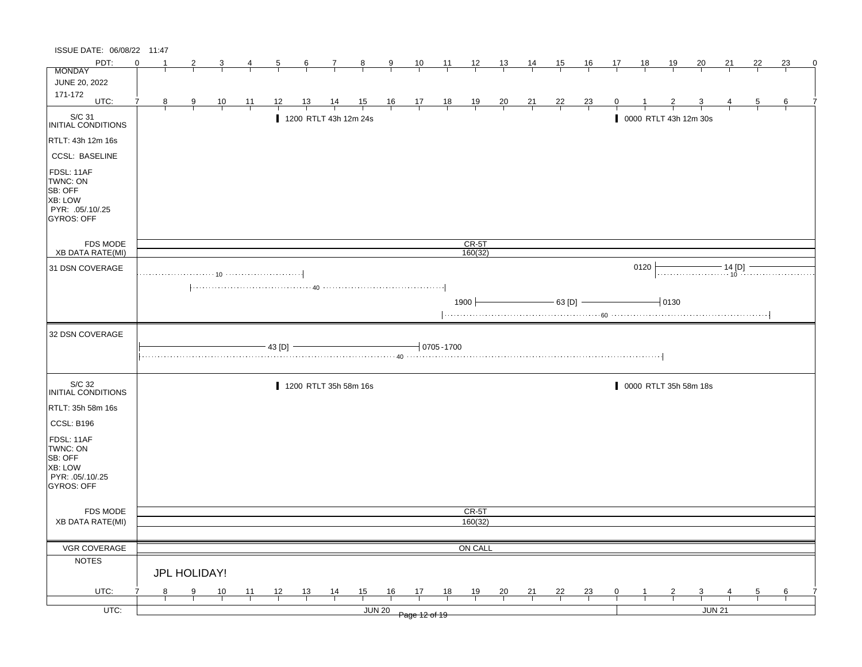| ISSUE DATE: 06/08/22 11:47                                                            |          |   |               |                |                |                |                       |                |                |                |                                                              |                 |                    |                |                |                |                |                |                  |                |                       |        |    |    |   |
|---------------------------------------------------------------------------------------|----------|---|---------------|----------------|----------------|----------------|-----------------------|----------------|----------------|----------------|--------------------------------------------------------------|-----------------|--------------------|----------------|----------------|----------------|----------------|----------------|------------------|----------------|-----------------------|--------|----|----|---|
| PDT:                                                                                  | $\Omega$ |   |               | 3              |                |                | $6\overline{6}$       | $\frac{7}{ }$  | $\frac{8}{ }$  | $\frac{9}{2}$  | $\frac{10}{1}$                                               | $\frac{11}{1}$  | $\frac{12}{ }$     | $\frac{13}{2}$ | <u>14</u>      | 15             | $\frac{16}{1}$ | 17             | $\underline{18}$ | <u>19</u>      | 20                    | 21     | 22 | 23 | 0 |
| <b>MONDAY</b>                                                                         |          |   |               |                |                |                |                       |                |                |                |                                                              |                 |                    |                |                |                |                |                |                  |                |                       |        |    |    |   |
| JUNE 20, 2022                                                                         |          |   |               |                |                |                |                       |                |                |                |                                                              |                 |                    |                |                |                |                |                |                  |                |                       |        |    |    |   |
| 171-172<br>UTC:                                                                       |          | 8 | 9             | $\frac{10}{1}$ | <u> 11</u>     | 12             | <u> 13 </u>           | $\frac{14}{1}$ | $\frac{15}{1}$ |                | $\begin{array}{cccccc}\n16 & 17 & 18 \\ \hline\n\end{array}$ |                 | $\frac{19}{1}$     | $\frac{20}{1}$ | $\frac{21}{}$  | $\frac{22}{1}$ | $\frac{23}{1}$ |                |                  |                |                       |        |    |    |   |
| S/C 31<br>INITIAL CONDITIONS                                                          |          |   |               |                |                |                | 1200 RTLT 43h 12m 24s |                |                |                |                                                              |                 |                    |                |                |                |                |                |                  |                | 0000 RTLT 43h 12m 30s |        |    |    |   |
| RTLT: 43h 12m 16s                                                                     |          |   |               |                |                |                |                       |                |                |                |                                                              |                 |                    |                |                |                |                |                |                  |                |                       |        |    |    |   |
| <b>CCSL: BASELINE</b>                                                                 |          |   |               |                |                |                |                       |                |                |                |                                                              |                 |                    |                |                |                |                |                |                  |                |                       |        |    |    |   |
| FDSL: 11AF<br>TWNC: ON<br>SB: OFF<br>XB: LOW<br>PYR: .05/.10/.25<br><b>GYROS: OFF</b> |          |   |               |                |                |                |                       |                |                |                |                                                              |                 |                    |                |                |                |                |                |                  |                |                       |        |    |    |   |
| FDS MODE<br><b>XB DATA RATE(MI)</b>                                                   |          |   |               |                |                |                |                       |                |                |                |                                                              |                 | $CR-5T$<br>160(32) |                |                |                |                |                |                  |                |                       |        |    |    |   |
| 31 DSN COVERAGE                                                                       |          |   |               |                |                |                |                       |                |                |                |                                                              |                 |                    |                |                |                |                |                | 0120             |                |                       |        |    |    |   |
|                                                                                       |          |   |               |                |                |                |                       |                |                |                |                                                              |                 |                    |                |                |                |                |                |                  |                |                       |        |    |    |   |
|                                                                                       |          |   |               |                |                |                |                       |                |                |                |                                                              |                 | $1900 +$           |                |                | $-63$ [D] $-$  |                |                |                  | $-0130$        |                       |        |    |    |   |
| 32 DSN COVERAGE                                                                       |          |   |               |                |                | $-43$ [D] $-$  |                       |                |                |                |                                                              | $-10705 - 1700$ |                    |                |                |                |                |                |                  |                |                       |        |    |    |   |
| S/C 32<br><b>INITIAL CONDITIONS</b>                                                   |          |   |               |                |                |                | 1200 RTLT 35h 58m 16s |                |                |                |                                                              |                 |                    |                |                |                |                |                |                  |                | 0000 RTLT 35h 58m 18s |        |    |    |   |
| RTLT: 35h 58m 16s                                                                     |          |   |               |                |                |                |                       |                |                |                |                                                              |                 |                    |                |                |                |                |                |                  |                |                       |        |    |    |   |
| CCSL: B196                                                                            |          |   |               |                |                |                |                       |                |                |                |                                                              |                 |                    |                |                |                |                |                |                  |                |                       |        |    |    |   |
| FDSL: 11AF<br>TWNC: ON<br>SB: OFF<br>XB: LOW<br>PYR: .05/.10/.25<br><b>GYROS: OFF</b> |          |   |               |                |                |                |                       |                |                |                |                                                              |                 |                    |                |                |                |                |                |                  |                |                       |        |    |    |   |
| FDS MODE                                                                              |          |   |               |                |                |                |                       |                |                |                |                                                              |                 | CR-5T              |                |                |                |                |                |                  |                |                       |        |    |    |   |
| <b>XB DATA RATE(MI)</b>                                                               |          |   |               |                |                |                |                       |                |                |                |                                                              |                 | 160(32)            |                |                |                |                |                |                  |                |                       |        |    |    |   |
|                                                                                       |          |   |               |                |                |                |                       |                |                |                |                                                              |                 |                    |                |                |                |                |                |                  |                |                       |        |    |    |   |
| VGR COVERAGE                                                                          |          |   |               |                |                |                |                       |                |                |                |                                                              |                 | ON CALL            |                |                |                |                |                |                  |                |                       |        |    |    |   |
| <b>NOTES</b>                                                                          |          |   | JPL HOLIDAY!  |                |                |                |                       |                |                |                |                                                              |                 |                    |                |                |                |                |                |                  |                |                       |        |    |    |   |
| UTC:                                                                                  |          | 8 |               |                |                |                |                       |                |                |                |                                                              |                 |                    |                |                |                |                |                |                  |                |                       |        |    |    |   |
|                                                                                       |          |   | $\frac{9}{2}$ | $\frac{10}{1}$ | $\frac{11}{1}$ | $\frac{12}{ }$ | $\frac{13}{ }$        | $\frac{14}{1}$ | $\frac{15}{1}$ | $\frac{16}{1}$ | $\frac{17}{1}$                                               | $\frac{18}{1}$  | $\frac{19}{1}$     | $\frac{20}{}$  | $\frac{21}{1}$ | $\frac{22}{1}$ | $\frac{23}{1}$ | $\overline{0}$ |                  | $\overline{z}$ | $\overline{3}$        |        |    | 6  |   |
| $UTC$ :                                                                               |          |   |               |                |                |                |                       |                | <b>JUN 20</b>  |                | Page 12 of 19                                                |                 |                    |                |                |                |                |                |                  |                |                       | JUN 21 |    |    |   |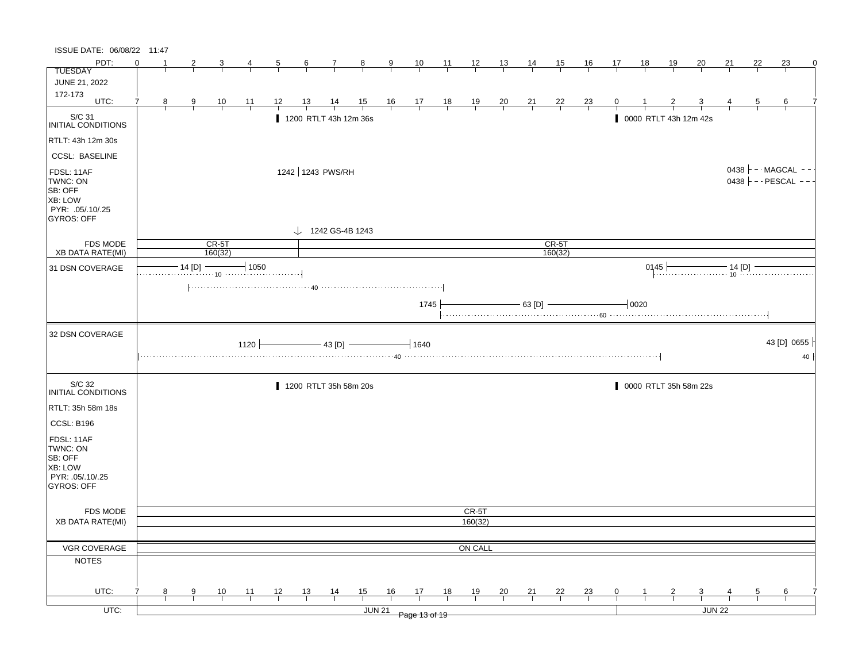| ISSUE DATE: 06/08/22 11:47                                                            |          |                |                |                    |                |                |                  |                |                              |                |                |                |                                                                   |                |                |                    |                |              |                               |                |                       |        |                |                                                     |          |
|---------------------------------------------------------------------------------------|----------|----------------|----------------|--------------------|----------------|----------------|------------------|----------------|------------------------------|----------------|----------------|----------------|-------------------------------------------------------------------|----------------|----------------|--------------------|----------------|--------------|-------------------------------|----------------|-----------------------|--------|----------------|-----------------------------------------------------|----------|
| PDT:                                                                                  | $\Omega$ |                | $\overline{2}$ | 3                  | 4              | $\overline{5}$ | 6                | $\overline{7}$ | 8                            | $\overline{9}$ | $\frac{10}{1}$ | $\frac{11}{1}$ | $\frac{12}{ }$                                                    | $\frac{13}{2}$ | $\frac{14}{1}$ | 15                 | <u>16</u>      | 17           | 18                            | <u>19</u>      | 20                    | 21     | 22             | 23                                                  | $\Omega$ |
| <b>TUESDAY</b>                                                                        |          |                |                |                    |                |                |                  |                |                              |                |                |                |                                                                   |                |                |                    |                |              |                               |                |                       |        |                |                                                     |          |
| JUNE 21, 2022                                                                         |          |                |                |                    |                |                |                  |                |                              |                |                |                |                                                                   |                |                |                    |                |              |                               |                |                       |        |                |                                                     |          |
| 172-173<br>UTC:                                                                       | 7        | 8 <sup>2</sup> | $\frac{9}{1}$  | $\frac{10}{1}$     |                | 12             | $\frac{13}{ }$   | $\frac{14}{1}$ | $\frac{15}{1}$               |                |                |                |                                                                   |                |                |                    | $\frac{23}{1}$ | $\mathbf{0}$ |                               |                |                       |        | $\overline{5}$ | 6                                                   |          |
|                                                                                       |          |                |                |                    | $\frac{11}{1}$ |                |                  |                |                              |                |                |                | $\begin{array}{c cccc}\n16 & 17 & 18 & 19 \\ \hline\n\end{array}$ | $\frac{20}{1}$ | $\frac{21}{1}$ | $\frac{22}{1}$     |                |              |                               |                |                       |        |                |                                                     |          |
| $\vert$ S/C 31<br>INITIAL CONDITIONS                                                  |          |                |                |                    |                |                |                  |                | 1200 RTLT 43h 12m 36s        |                |                |                |                                                                   |                |                |                    |                |              |                               |                | 0000 RTLT 43h 12m 42s |        |                |                                                     |          |
| RTLT: 43h 12m 30s                                                                     |          |                |                |                    |                |                |                  |                |                              |                |                |                |                                                                   |                |                |                    |                |              |                               |                |                       |        |                |                                                     |          |
| <b>CCSL: BASELINE</b>                                                                 |          |                |                |                    |                |                |                  |                |                              |                |                |                |                                                                   |                |                |                    |                |              |                               |                |                       |        |                |                                                     |          |
| FDSL: 11AF<br>TWNC: ON<br>SB: OFF<br>XB: LOW<br>PYR: .05/.10/.25<br><b>GYROS: OFF</b> |          |                |                |                    |                |                | 1242 1243 PWS/RH |                |                              |                |                |                |                                                                   |                |                |                    |                |              |                               |                |                       |        |                | 0438 $\vdash$ - MAGCAL - -<br>$0438$ - - PESCAL - - |          |
|                                                                                       |          |                |                |                    |                |                |                  |                | $\downarrow$ 1242 GS-4B 1243 |                |                |                |                                                                   |                |                |                    |                |              |                               |                |                       |        |                |                                                     |          |
| <b>FDS MODE</b><br>XB DATA RATE(MI)                                                   |          |                |                | $CR-5T$<br>160(32) |                |                |                  |                |                              |                |                |                |                                                                   |                |                | $CR-5T$<br>160(32) |                |              |                               |                |                       |        |                |                                                     |          |
|                                                                                       |          |                |                | 14 [D]             | $-1050$        |                |                  |                |                              |                |                |                |                                                                   |                |                |                    |                |              |                               |                |                       |        |                |                                                     |          |
| 31 DSN COVERAGE                                                                       |          |                |                |                    |                |                |                  |                |                              |                |                |                |                                                                   |                |                |                    |                |              | 0145                          |                |                       |        |                | 145 $\longleftarrow$ 14 [D] $\longleftarrow$ 14     |          |
|                                                                                       |          |                |                |                    |                |                |                  |                |                              |                |                |                |                                                                   |                |                |                    |                |              |                               |                |                       |        |                |                                                     |          |
|                                                                                       |          |                |                |                    |                |                |                  |                |                              |                | 1745           |                |                                                                   |                |                | $-63$ [D] $-$      |                |              | $\overline{\phantom{0}}$ 0020 |                |                       |        |                |                                                     |          |
| 32 DSN COVERAGE                                                                       |          |                |                |                    |                |                |                  |                |                              |                | $-1640$        |                |                                                                   |                |                |                    |                |              |                               |                |                       |        |                | 43 [D] 0655                                         |          |
|                                                                                       |          |                |                |                    |                |                |                  |                |                              |                |                |                |                                                                   |                |                |                    |                |              |                               |                |                       |        |                |                                                     |          |
|                                                                                       |          |                |                |                    | $1120 +$       |                |                  | $-$ 43 [D] $-$ |                              |                |                |                |                                                                   |                |                |                    |                |              |                               |                |                       |        |                |                                                     | 40       |
| S/C 32<br>INITIAL CONDITIONS                                                          |          |                |                |                    |                |                |                  |                | 1200 RTLT 35h 58m 20s        |                |                |                |                                                                   |                |                |                    |                |              |                               |                | 0000 RTLT 35h 58m 22s |        |                |                                                     |          |
| RTLT: 35h 58m 18s                                                                     |          |                |                |                    |                |                |                  |                |                              |                |                |                |                                                                   |                |                |                    |                |              |                               |                |                       |        |                |                                                     |          |
|                                                                                       |          |                |                |                    |                |                |                  |                |                              |                |                |                |                                                                   |                |                |                    |                |              |                               |                |                       |        |                |                                                     |          |
| CCSL: B196<br>FDSL: 11AF<br>TWNC: ON                                                  |          |                |                |                    |                |                |                  |                |                              |                |                |                |                                                                   |                |                |                    |                |              |                               |                |                       |        |                |                                                     |          |
| SB: OFF                                                                               |          |                |                |                    |                |                |                  |                |                              |                |                |                |                                                                   |                |                |                    |                |              |                               |                |                       |        |                |                                                     |          |
| XB: LOW                                                                               |          |                |                |                    |                |                |                  |                |                              |                |                |                |                                                                   |                |                |                    |                |              |                               |                |                       |        |                |                                                     |          |
| PYR: .05/.10/.25<br>GYROS: OFF                                                        |          |                |                |                    |                |                |                  |                |                              |                |                |                |                                                                   |                |                |                    |                |              |                               |                |                       |        |                |                                                     |          |
|                                                                                       |          |                |                |                    |                |                |                  |                |                              |                |                |                |                                                                   |                |                |                    |                |              |                               |                |                       |        |                |                                                     |          |
| FDS MODE<br><b>XB DATA RATE(MI)</b>                                                   |          |                |                |                    |                |                |                  |                |                              |                |                |                | CR-5T                                                             |                |                |                    |                |              |                               |                |                       |        |                |                                                     |          |
|                                                                                       |          |                |                |                    |                |                |                  |                |                              |                |                |                | 160(32)                                                           |                |                |                    |                |              |                               |                |                       |        |                |                                                     |          |
|                                                                                       |          |                |                |                    |                |                |                  |                |                              |                |                |                |                                                                   |                |                |                    |                |              |                               |                |                       |        |                |                                                     |          |
| VGR COVERAGE                                                                          |          |                |                |                    |                |                |                  |                |                              |                |                |                | ON CALL                                                           |                |                |                    |                |              |                               |                |                       |        |                |                                                     |          |
| <b>NOTES</b>                                                                          |          |                |                |                    |                |                |                  |                |                              |                |                |                |                                                                   |                |                |                    |                |              |                               |                |                       |        |                |                                                     |          |
| UTC:                                                                                  |          | 8              | 9              | 10                 | 11             | 12             | 13               |                | 15                           | 16             | 17             | 18             | 19                                                                |                | 21             | 22                 | 23             | 0            |                               | $\overline{2}$ | 3                     |        | 5              | 6                                                   |          |
| UTC:                                                                                  |          |                |                |                    |                |                |                  | $\frac{14}{1}$ | <b>JUN 21</b>                |                |                |                |                                                                   | $\frac{20}{1}$ |                |                    |                |              |                               |                |                       | JUN 22 |                |                                                     |          |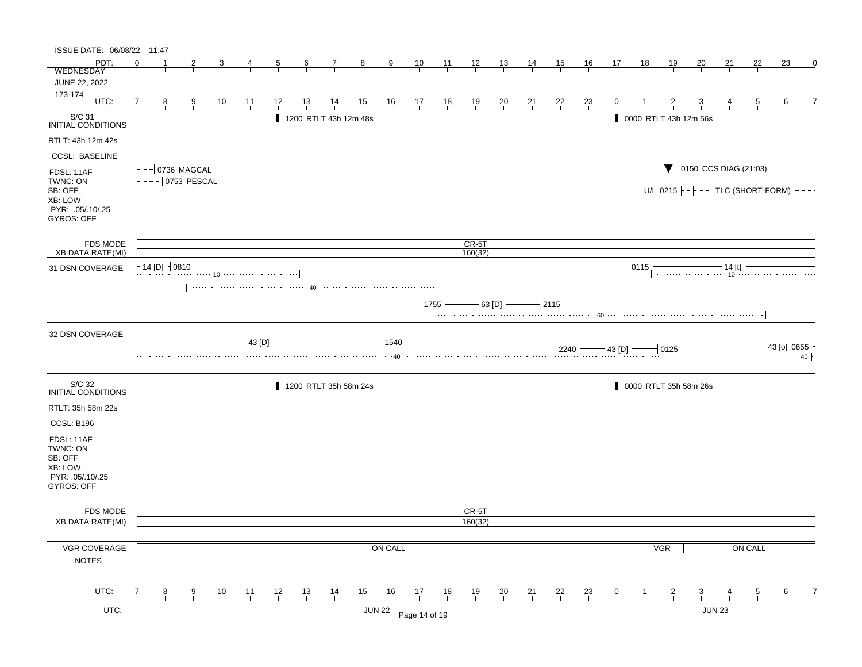| ISSUE DATE: 06/08/22 11:47                       |                                       |               |                |        |                |                 |                       |                     |                        |                                                                |          |                  |                |                                   |           |                                                |    |      |                       |                    |                                            |         |                                                         |
|--------------------------------------------------|---------------------------------------|---------------|----------------|--------|----------------|-----------------|-----------------------|---------------------|------------------------|----------------------------------------------------------------|----------|------------------|----------------|-----------------------------------|-----------|------------------------------------------------|----|------|-----------------------|--------------------|--------------------------------------------|---------|---------------------------------------------------------|
| PDT:                                             | ∩                                     |               |                |        | $\overline{5}$ | $6\overline{6}$ | 7                     | 8                   | 9                      | 10                                                             | 11       | $\frac{12}{ }$   | <u> 13 </u>    | $\frac{14}{1}$                    | 15        | <u>16</u>                                      | 17 | 18   | <u>19</u>             | 20                 | 21                                         | 22      | 23<br>0                                                 |
| <b>WEDNESDAY</b>                                 |                                       |               |                |        |                |                 |                       |                     |                        |                                                                |          |                  |                |                                   |           |                                                |    |      |                       |                    |                                            |         |                                                         |
| JUNE 22, 2022                                    |                                       |               |                |        |                |                 |                       |                     |                        |                                                                |          |                  |                |                                   |           |                                                |    |      |                       |                    |                                            |         |                                                         |
| 173-174<br>UTC:                                  | 7<br>8                                | $\frac{9}{5}$ | $\frac{10}{1}$ | 11     | 12             |                 |                       | $\frac{15}{1}$      |                        | $\begin{array}{c cc} 16 & 17 & 18 \\ \hline & & & \end{array}$ |          | $\frac{19}{1}$   | $\frac{20}{1}$ | $\frac{21}{1}$                    | <u>22</u> | $\frac{23}{1}$                                 | 0  |      |                       |                    |                                            | 5       | 6                                                       |
|                                                  |                                       |               |                |        |                |                 |                       |                     |                        |                                                                |          |                  |                |                                   |           |                                                |    |      |                       |                    |                                            |         |                                                         |
| S/C 31<br>INITIAL CONDITIONS                     |                                       |               |                |        |                |                 | 1200 RTLT 43h 12m 48s |                     |                        |                                                                |          |                  |                |                                   |           |                                                |    |      | 0000 RTLT 43h 12m 56s |                    |                                            |         |                                                         |
| RTLT: 43h 12m 42s                                |                                       |               |                |        |                |                 |                       |                     |                        |                                                                |          |                  |                |                                   |           |                                                |    |      |                       |                    |                                            |         |                                                         |
| <b>CCSL: BASELINE</b>                            |                                       |               |                |        |                |                 |                       |                     |                        |                                                                |          |                  |                |                                   |           |                                                |    |      |                       |                    |                                            |         |                                                         |
| FDSL: 11AF<br>TWNC: ON<br>SB: OFF                | -- 0736 MAGCAL<br>$- -   0753$ PESCAL |               |                |        |                |                 |                       |                     |                        |                                                                |          |                  |                |                                   |           |                                                |    |      |                       |                    | $\blacktriangledown$ 0150 CCS DIAG (21:03) |         | U/L 0215 $\vert - \vert - - \cdot$ TLC (SHORT-FORM) --- |
| XB: LOW<br>PYR: .05/.10/.25<br><b>GYROS: OFF</b> |                                       |               |                |        |                |                 |                       |                     |                        |                                                                |          |                  |                |                                   |           |                                                |    |      |                       |                    |                                            |         |                                                         |
| <b>FDS MODE</b>                                  |                                       |               |                |        |                |                 |                       |                     |                        |                                                                |          | $CR-5T$          |                |                                   |           |                                                |    |      |                       |                    |                                            |         |                                                         |
| <b>XB DATA RATE(MI)</b>                          |                                       |               |                |        |                |                 |                       |                     |                        |                                                                |          | 160(32)          |                |                                   |           |                                                |    |      |                       |                    |                                            |         |                                                         |
| 31 DSN COVERAGE                                  | $14$ [D] $-10810$                     |               |                |        |                |                 |                       |                     |                        |                                                                |          |                  |                |                                   |           |                                                |    | 0115 |                       |                    |                                            |         |                                                         |
|                                                  |                                       |               |                |        |                |                 |                       |                     |                        |                                                                |          |                  |                |                                   |           |                                                |    |      |                       |                    |                                            |         |                                                         |
|                                                  |                                       |               |                |        |                |                 |                       |                     |                        |                                                                | $1755 +$ |                  |                | $-$ 63 [D] $\longrightarrow$ 2115 |           |                                                |    |      |                       |                    |                                            |         |                                                         |
|                                                  |                                       |               |                |        |                |                 |                       |                     |                        |                                                                |          |                  |                |                                   |           |                                                |    |      |                       |                    |                                            |         |                                                         |
| 32 DSN COVERAGE                                  |                                       |               |                | 43 [D] |                |                 |                       |                     | $+1540$<br>$\cdots$ 40 |                                                                |          |                  |                |                                   |           | $2240$ $\rightarrow$ 43 [D] $\rightarrow$ 0125 |    |      |                       |                    |                                            |         | 43 [o] 0655<br>$40 \mid$                                |
|                                                  |                                       |               |                |        |                |                 |                       |                     |                        |                                                                |          |                  |                |                                   |           |                                                |    |      |                       |                    |                                            |         |                                                         |
| S/C 32<br>INITIAL CONDITIONS                     |                                       |               |                |        |                |                 | 1200 RTLT 35h 58m 24s |                     |                        |                                                                |          |                  |                |                                   |           |                                                |    |      | 0000 RTLT 35h 58m 26s |                    |                                            |         |                                                         |
| RTLT: 35h 58m 22s                                |                                       |               |                |        |                |                 |                       |                     |                        |                                                                |          |                  |                |                                   |           |                                                |    |      |                       |                    |                                            |         |                                                         |
| CCSL: B196                                       |                                       |               |                |        |                |                 |                       |                     |                        |                                                                |          |                  |                |                                   |           |                                                |    |      |                       |                    |                                            |         |                                                         |
|                                                  |                                       |               |                |        |                |                 |                       |                     |                        |                                                                |          |                  |                |                                   |           |                                                |    |      |                       |                    |                                            |         |                                                         |
| FDSL: 11AF<br>TWNC: ON                           |                                       |               |                |        |                |                 |                       |                     |                        |                                                                |          |                  |                |                                   |           |                                                |    |      |                       |                    |                                            |         |                                                         |
| SB: OFF                                          |                                       |               |                |        |                |                 |                       |                     |                        |                                                                |          |                  |                |                                   |           |                                                |    |      |                       |                    |                                            |         |                                                         |
| XB: LOW                                          |                                       |               |                |        |                |                 |                       |                     |                        |                                                                |          |                  |                |                                   |           |                                                |    |      |                       |                    |                                            |         |                                                         |
| PYR: .05/.10/.25<br>GYROS: OFF                   |                                       |               |                |        |                |                 |                       |                     |                        |                                                                |          |                  |                |                                   |           |                                                |    |      |                       |                    |                                            |         |                                                         |
|                                                  |                                       |               |                |        |                |                 |                       |                     |                        |                                                                |          |                  |                |                                   |           |                                                |    |      |                       |                    |                                            |         |                                                         |
| FDS MODE<br><b>XB DATA RATE(MI)</b>              |                                       |               |                |        |                |                 |                       |                     |                        |                                                                |          | CR-5T<br>160(32) |                |                                   |           |                                                |    |      |                       |                    |                                            |         |                                                         |
|                                                  |                                       |               |                |        |                |                 |                       |                     |                        |                                                                |          |                  |                |                                   |           |                                                |    |      |                       |                    |                                            |         |                                                         |
| VGR COVERAGE                                     |                                       |               |                |        |                |                 |                       |                     | ON CALL                |                                                                |          |                  |                |                                   |           |                                                |    |      | <b>VGR</b>            |                    |                                            | ON CALL |                                                         |
| <b>NOTES</b>                                     |                                       |               |                |        |                |                 |                       |                     |                        |                                                                |          |                  |                |                                   |           |                                                |    |      |                       |                    |                                            |         |                                                         |
|                                                  |                                       |               |                |        |                |                 |                       |                     |                        |                                                                |          |                  |                |                                   |           |                                                |    |      |                       |                    |                                            |         |                                                         |
| UTC:<br>UTC:                                     | 7<br>8                                | 9             | 10             | 11     | 12             | 13              | 14                    | 15<br><b>JUN 22</b> | 16                     | 17                                                             | 18       | 19               | 20             | 21                                | 22        | <u>23</u>                                      | 0  |      |                       | 3<br><b>JUN 23</b> |                                            | 5       | 6                                                       |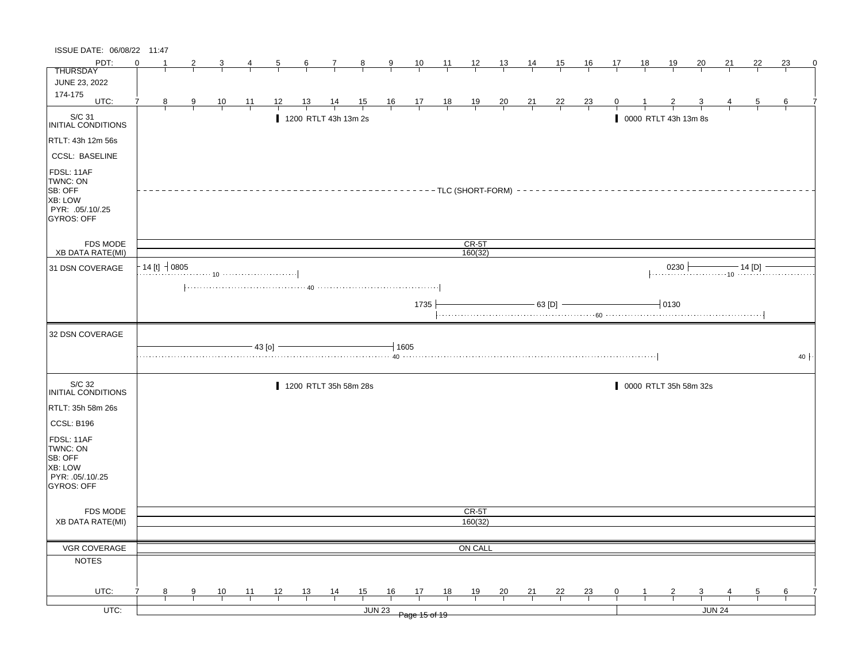| ISSUE DATE: 06/08/22 11:47                                                            |          |                    |               |                |                 |                |                  |                       |        |                         |                                   |       |                |                |                |                |                |              |              |                      |                         |        |                |    |          |
|---------------------------------------------------------------------------------------|----------|--------------------|---------------|----------------|-----------------|----------------|------------------|-----------------------|--------|-------------------------|-----------------------------------|-------|----------------|----------------|----------------|----------------|----------------|--------------|--------------|----------------------|-------------------------|--------|----------------|----|----------|
| PDT:                                                                                  | $\Omega$ |                    |               | 3              | 4               | $\overline{5}$ | $6 \overline{6}$ | $\mathbf{7}$          | $_{8}$ | 9                       | 10                                | $-11$ | $\frac{12}{ }$ | 13             | 14             | 15             | <u>16</u>      | 17           | 18           | <u> 19</u>           | 20                      | 21     | 22             | 23 | $\Omega$ |
| <b>THURSDAY</b>                                                                       |          |                    |               |                |                 |                |                  |                       |        |                         |                                   |       |                |                |                |                |                |              |              |                      |                         |        |                |    |          |
| JUNE 23, 2022                                                                         |          |                    |               |                |                 |                |                  |                       |        |                         |                                   |       |                |                |                |                |                |              |              |                      |                         |        |                |    |          |
| 174-175<br>UTC:                                                                       | 7        | 8                  |               |                | $\overline{11}$ | 12             | $\frac{13}{1}$   | $\frac{14}{1}$        |        |                         |                                   |       |                |                |                |                |                | $\mathbf{0}$ |              |                      |                         |        | $\overline{5}$ | 6  |          |
|                                                                                       |          |                    | $\frac{9}{1}$ | $\frac{10}{1}$ |                 |                |                  |                       |        | $\frac{15}{1}$ 16 17 18 |                                   |       | $\frac{19}{1}$ | $\frac{20}{1}$ | $\frac{21}{1}$ | $\frac{22}{1}$ | $\frac{23}{1}$ |              |              |                      |                         |        |                |    |          |
| S/C 31<br>INITIAL CONDITIONS                                                          |          |                    |               |                |                 |                |                  | 1200 RTLT 43h 13m 2s  |        |                         |                                   |       |                |                |                |                |                |              |              | 0000 RTLT 43h 13m 8s |                         |        |                |    |          |
| RTLT: 43h 12m 56s                                                                     |          |                    |               |                |                 |                |                  |                       |        |                         |                                   |       |                |                |                |                |                |              |              |                      |                         |        |                |    |          |
| <b>CCSL: BASELINE</b>                                                                 |          |                    |               |                |                 |                |                  |                       |        |                         |                                   |       |                |                |                |                |                |              |              |                      |                         |        |                |    |          |
| FDSL: 11AF<br>TWNC: ON<br>SB: OFF<br>XB: LOW<br>PYR: .05/.10/.25<br><b>GYROS: OFF</b> |          |                    |               |                |                 |                |                  |                       |        |                         | --------TLC (SHORT-FORM) -------- |       |                |                |                |                |                |              |              |                      |                         |        |                |    |          |
| FDS MODE                                                                              |          |                    |               |                |                 |                |                  |                       |        |                         |                                   |       | CR-5T          |                |                |                |                |              |              |                      |                         |        |                |    |          |
| XB DATA RATE(MI)                                                                      |          |                    |               |                |                 |                |                  |                       |        |                         |                                   |       | 160(32)        |                |                |                |                |              |              |                      |                         |        |                |    |          |
| 31 DSN COVERAGE                                                                       |          | $-14$ [t] $-10805$ |               |                |                 |                |                  |                       |        |                         |                                   |       |                |                |                |                |                |              |              |                      |                         |        |                |    |          |
|                                                                                       |          |                    |               |                |                 |                |                  |                       |        |                         | 1735                              |       |                |                |                | $-$ 63 [D] $-$ |                |              |              | $-10130$             |                         |        |                |    |          |
| 32 DSN COVERAGE                                                                       |          |                    |               |                |                 |                |                  |                       |        |                         |                                   |       |                |                |                |                |                |              |              |                      |                         |        |                |    |          |
|                                                                                       |          |                    |               |                |                 | $-43$ [o] $-$  |                  |                       |        | $-1605$                 |                                   |       |                |                |                |                |                |              |              |                      |                         |        |                |    | 40       |
| S/C 32<br>INITIAL CONDITIONS                                                          |          |                    |               |                |                 |                |                  | 1200 RTLT 35h 58m 28s |        |                         |                                   |       |                |                |                |                |                |              |              |                      | 0000 RTLT 35h 58m 32s   |        |                |    |          |
| RTLT: 35h 58m 26s                                                                     |          |                    |               |                |                 |                |                  |                       |        |                         |                                   |       |                |                |                |                |                |              |              |                      |                         |        |                |    |          |
| CCSL: B196                                                                            |          |                    |               |                |                 |                |                  |                       |        |                         |                                   |       |                |                |                |                |                |              |              |                      |                         |        |                |    |          |
| FDSL: 11AF<br>TWNC: ON<br>SB: OFF<br>XB: LOW<br>PYR: .05/.10/.25<br><b>GYROS: OFF</b> |          |                    |               |                |                 |                |                  |                       |        |                         |                                   |       |                |                |                |                |                |              |              |                      |                         |        |                |    |          |
| FDS MODE                                                                              |          |                    |               |                |                 |                |                  |                       |        |                         |                                   |       | CR-5T          |                |                |                |                |              |              |                      |                         |        |                |    |          |
| <b>XB DATA RATE(MI)</b>                                                               |          |                    |               |                |                 |                |                  |                       |        |                         |                                   |       | 160(32)        |                |                |                |                |              |              |                      |                         |        |                |    |          |
|                                                                                       |          |                    |               |                |                 |                |                  |                       |        |                         |                                   |       |                |                |                |                |                |              |              |                      |                         |        |                |    |          |
| <b>VGR COVERAGE</b>                                                                   |          |                    |               |                |                 |                |                  |                       |        |                         |                                   |       | ON CALL        |                |                |                |                |              |              |                      |                         |        |                |    |          |
| <b>NOTES</b>                                                                          |          |                    |               |                |                 |                |                  |                       |        |                         |                                   |       |                |                |                |                |                |              |              |                      |                         |        |                |    |          |
| UTC:                                                                                  |          | 8                  | 9             | 10             | 11              | 12             | 13               | $\frac{14}{1}$        | 15     | 16                      | 17                                | 18    | 19             | $\frac{20}{1}$ | 21             | 22             | $\frac{23}{1}$ | 0            | $\mathbf{1}$ | $\overline{2}$       | $\overline{\mathbf{3}}$ |        | 5              | 6  |          |
| UTC:                                                                                  |          |                    |               |                |                 |                |                  |                       |        |                         |                                   |       |                |                |                |                |                |              |              |                      |                         | JUN 24 |                |    |          |
|                                                                                       |          |                    |               |                |                 |                |                  |                       |        | <b>JUN 23</b>           | Page 15 of 19                     |       |                |                |                |                |                |              |              |                      |                         |        |                |    |          |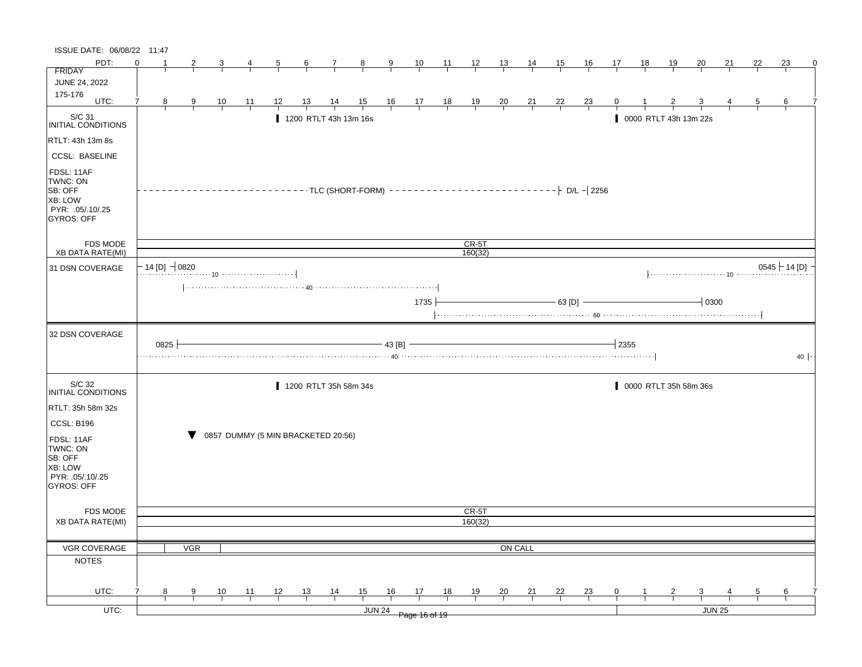| ISSUE DATE: 06/08/22 11:47                                                            |                             |      |            |           |    |                                    |                 |                       |                |                |                |                 |                |                |                |        |                |      |    |                       |               |    |    |                 |
|---------------------------------------------------------------------------------------|-----------------------------|------|------------|-----------|----|------------------------------------|-----------------|-----------------------|----------------|----------------|----------------|-----------------|----------------|----------------|----------------|--------|----------------|------|----|-----------------------|---------------|----|----|-----------------|
| PDT:                                                                                  | $\Omega$                    |      | 2          |           | 4  | 5                                  | $6\overline{6}$ | $\mathbf{7}$          | $_{8}$         | 9              | 10             | $\overline{11}$ | 12             | <u>13</u>      | $\frac{14}{1}$ | 15     | <u>16</u>      | 17   | 18 | <u>19</u>             | <u>20</u>     | 21 | 22 | 23<br>0         |
| <b>FRIDAY</b>                                                                         |                             |      |            |           |    |                                    |                 |                       |                |                |                |                 |                |                |                |        |                |      |    |                       |               |    |    |                 |
| <b>JUNE 24, 2022</b>                                                                  |                             |      |            |           |    |                                    |                 |                       |                |                |                |                 |                |                |                |        |                |      |    |                       |               |    |    |                 |
| 175-176<br>UTC:                                                                       | 7                           | 8    | 9          | <u>10</u> | 11 | 12                                 | 13              | 14                    | $\frac{15}{1}$ | $\frac{16}{1}$ | $\frac{17}{1}$ | $\frac{18}{1}$  | $\frac{19}{1}$ | $\frac{20}{1}$ | $\frac{21}{1}$ | 22     | $\frac{23}{1}$ | 0    |    |                       |               |    | 5  | 6               |
| $\vert$ S/C 31<br>INITIAL CONDITIONS                                                  |                             |      |            |           |    |                                    |                 | 1200 RTLT 43h 13m 16s |                |                |                |                 |                |                |                |        |                |      |    | 0000 RTLT 43h 13m 22s |               |    |    |                 |
| RTLT: 43h 13m 8s                                                                      |                             |      |            |           |    |                                    |                 |                       |                |                |                |                 |                |                |                |        |                |      |    |                       |               |    |    |                 |
| <b>CCSL: BASELINE</b>                                                                 |                             |      |            |           |    |                                    |                 |                       |                |                |                |                 |                |                |                |        |                |      |    |                       |               |    |    |                 |
| FDSL: 11AF<br>TWNC: ON<br>SB: OFF<br>XB: LOW<br>PYR: .05/.10/.25<br><b>GYROS: OFF</b> |                             |      |            |           |    |                                    |                 |                       |                |                |                |                 |                |                |                |        |                |      |    |                       |               |    |    |                 |
| <b>FDS MODE</b>                                                                       |                             |      |            |           |    |                                    |                 |                       |                |                |                |                 | $CR-5T$        |                |                |        |                |      |    |                       |               |    |    |                 |
| XB DATA RATE(MI)                                                                      |                             |      |            |           |    |                                    |                 |                       |                |                |                |                 | 160(32)        |                |                |        |                |      |    |                       |               |    |    |                 |
| 31 DSN COVERAGE                                                                       | - 14 [D] $\rightarrow$ 0820 |      |            |           |    |                                    |                 |                       |                |                |                |                 |                |                |                |        |                |      |    |                       |               |    |    | $0545$ - 14 [D] |
|                                                                                       |                             |      |            |           |    |                                    |                 |                       |                |                | 1735           |                 |                |                |                | 63 [D] |                |      |    |                       | $-10300$      |    |    |                 |
| 32 DSN COVERAGE                                                                       |                             | 0825 |            |           |    |                                    |                 |                       |                | 43 [B]         |                |                 |                |                |                |        |                | 2355 |    |                       |               |    |    | $40 \cdot$      |
| S/C 32<br>INITIAL CONDITIONS                                                          |                             |      |            |           |    |                                    |                 | 1200 RTLT 35h 58m 34s |                |                |                |                 |                |                |                |        |                |      |    | 0000 RTLT 35h 58m 36s |               |    |    |                 |
| RTLT: 35h 58m 32s                                                                     |                             |      |            |           |    |                                    |                 |                       |                |                |                |                 |                |                |                |        |                |      |    |                       |               |    |    |                 |
| CCSL: B196                                                                            |                             |      |            |           |    |                                    |                 |                       |                |                |                |                 |                |                |                |        |                |      |    |                       |               |    |    |                 |
| FDSL: 11AF<br>TWNC: ON<br>SB: OFF<br>XB: LOW<br>PYR: .05/.10/.25<br>GYROS: OFF        |                             |      |            |           |    | 0857 DUMMY (5 MIN BRACKETED 20:56) |                 |                       |                |                |                |                 |                |                |                |        |                |      |    |                       |               |    |    |                 |
| <b>FDS MODE</b>                                                                       |                             |      |            |           |    |                                    |                 |                       |                |                |                |                 | CR-5T          |                |                |        |                |      |    |                       |               |    |    |                 |
| <b>XB DATA RATE(MI)</b>                                                               |                             |      |            |           |    |                                    |                 |                       |                |                |                |                 | 160(32)        |                |                |        |                |      |    |                       |               |    |    |                 |
|                                                                                       |                             |      |            |           |    |                                    |                 |                       |                |                |                |                 |                |                |                |        |                |      |    |                       |               |    |    |                 |
| VGR COVERAGE                                                                          |                             |      | <b>VGR</b> |           |    |                                    |                 |                       |                |                |                |                 |                | ON CALL        |                |        |                |      |    |                       |               |    |    |                 |
| <b>NOTES</b>                                                                          |                             |      |            |           |    |                                    |                 |                       |                |                |                |                 |                |                |                |        |                |      |    |                       |               |    |    |                 |
|                                                                                       |                             |      |            |           |    |                                    |                 |                       |                |                |                |                 |                |                |                |        |                |      |    |                       |               |    |    |                 |
| UTC:                                                                                  | 7                           | 8    | 9          | 10        | 11 | 12                                 | 13              | 14                    | 15             | 16             | 17             | 18              | 19             | 20             | 21             | 22     | <b>23</b>      | 0    |    |                       | 3             |    | 5  | 6               |
| UTC:                                                                                  |                             |      |            |           |    |                                    |                 |                       |                | <b>JUN 24</b>  | Page 16 of 19  |                 |                |                |                |        |                |      |    |                       | <b>JUN 25</b> |    |    |                 |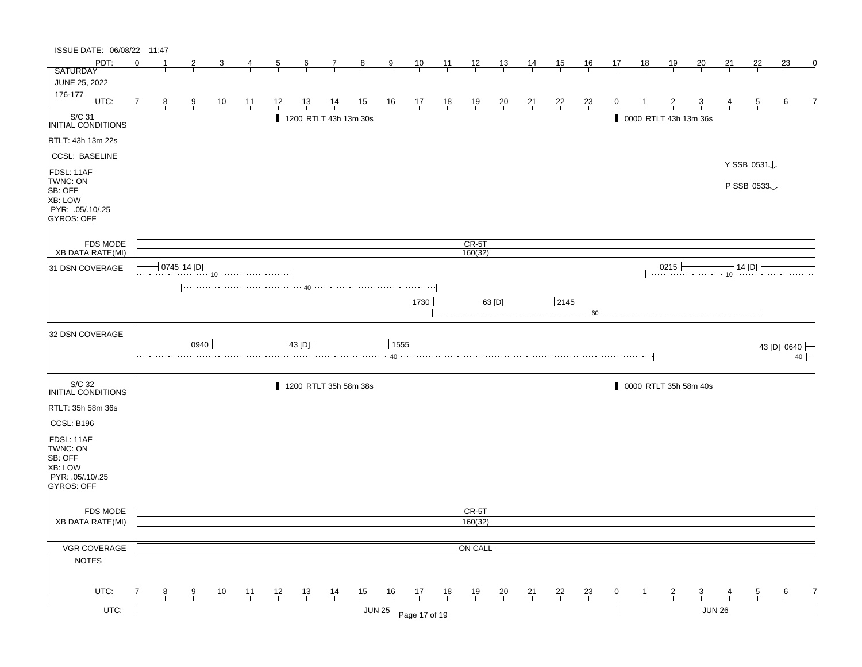| ISSUE DATE: 06/08/22 11:47                                                                   |          |   |                |                |    |            |           |                       |                |      |                                                                |    |                |                |                |                |                |    |    |                |                                  |    |             |             |           |
|----------------------------------------------------------------------------------------------|----------|---|----------------|----------------|----|------------|-----------|-----------------------|----------------|------|----------------------------------------------------------------|----|----------------|----------------|----------------|----------------|----------------|----|----|----------------|----------------------------------|----|-------------|-------------|-----------|
| PDT:                                                                                         | $\Omega$ |   | 2              | 3              | 4  | 5          | 6         | 7                     | $_{8}$         | 9    | 10                                                             | 11 | 12             | 13             | 14             | <u>15</u>      | <u>16</u>      | 17 | 18 | 19             | 20                               | 21 | 22          | 23          | 0         |
| <b>SATURDAY</b>                                                                              |          |   |                |                |    |            |           |                       |                |      |                                                                |    |                |                |                |                |                |    |    |                |                                  |    |             |             |           |
| JUNE 25, 2022                                                                                |          |   |                |                |    |            |           |                       |                |      |                                                                |    |                |                |                |                |                |    |    |                |                                  |    |             |             |           |
| 176-177<br>UTC:                                                                              | 7        |   |                |                |    |            |           |                       |                |      |                                                                |    |                |                |                |                |                |    |    |                |                                  |    |             |             |           |
|                                                                                              |          | 8 | $\overline{9}$ | $\frac{10}{1}$ | 11 | 12         | <u>13</u> | $\frac{14}{1}$        | $\frac{15}{1}$ |      | $\begin{array}{c cc} 16 & 17 & 18 \\ \hline & & & \end{array}$ |    | $\frac{19}{1}$ | $\frac{20}{1}$ | $\frac{21}{1}$ | $\frac{22}{1}$ | $\frac{23}{1}$ | 0  |    |                |                                  |    | 5           | 6           |           |
| S/C 31<br>INITIAL CONDITIONS                                                                 |          |   |                |                |    |            |           | 1200 RTLT 43h 13m 30s |                |      |                                                                |    |                |                |                |                |                |    |    |                | 0000 RTLT 43h 13m 36s            |    |             |             |           |
| RTLT: 43h 13m 22s                                                                            |          |   |                |                |    |            |           |                       |                |      |                                                                |    |                |                |                |                |                |    |    |                |                                  |    |             |             |           |
| <b>CCSL: BASELINE</b>                                                                        |          |   |                |                |    |            |           |                       |                |      |                                                                |    |                |                |                |                |                |    |    |                |                                  |    | Y SSB 0531↓ |             |           |
| FDSL: 11AF<br>TWNC: ON<br>SB: OFF<br>XB: LOW<br>PYR: .05/.10/.25<br><b>GYROS: OFF</b>        |          |   |                |                |    |            |           |                       |                |      |                                                                |    |                |                |                |                |                |    |    |                |                                  |    | P SSB 0533  |             |           |
| FDS MODE                                                                                     |          |   |                |                |    |            |           |                       |                |      |                                                                |    | $CR-5T$        |                |                |                |                |    |    |                |                                  |    |             |             |           |
| XB DATA RATE(MI)                                                                             |          |   |                |                |    |            |           |                       |                |      |                                                                |    | 160(32)        |                |                |                |                |    |    |                |                                  |    |             |             |           |
| 31 DSN COVERAGE                                                                              |          |   | 0745 14 [D]    |                |    |            |           |                       |                |      |                                                                |    |                |                |                |                |                |    |    |                | 0215 $\frac{14 \text{ [D]}}{10}$ |    |             |             |           |
|                                                                                              |          |   |                |                |    |            |           |                       |                |      | 1730                                                           |    |                | $-$ 63 [D] $-$ |                | $-2145$        |                |    |    |                |                                  |    |             |             |           |
| 32 DSN COVERAGE                                                                              |          |   | $0940 \;$      |                |    | - 43 [D] - |           |                       |                | 1555 |                                                                |    |                |                |                |                |                |    |    |                |                                  |    |             | 43 [D] 0640 | $40 \mid$ |
| S/C 32<br>INITIAL CONDITIONS                                                                 |          |   |                |                |    |            |           | 1200 RTLT 35h 58m 38s |                |      |                                                                |    |                |                |                |                |                |    |    |                | 0000 RTLT 35h 58m 40s            |    |             |             |           |
| RTLT: 35h 58m 36s                                                                            |          |   |                |                |    |            |           |                       |                |      |                                                                |    |                |                |                |                |                |    |    |                |                                  |    |             |             |           |
|                                                                                              |          |   |                |                |    |            |           |                       |                |      |                                                                |    |                |                |                |                |                |    |    |                |                                  |    |             |             |           |
| CCSL: B196<br>FDSL: 11AF<br>TWNC: ON<br>SB: OFF<br>XB: LOW<br>PYR: .05/.10/.25<br>GYROS: OFF |          |   |                |                |    |            |           |                       |                |      |                                                                |    |                |                |                |                |                |    |    |                |                                  |    |             |             |           |
| FDS MODE                                                                                     |          |   |                |                |    |            |           |                       |                |      |                                                                |    | CR-5T          |                |                |                |                |    |    |                |                                  |    |             |             |           |
| <b>XB DATA RATE(MI)</b>                                                                      |          |   |                |                |    |            |           |                       |                |      |                                                                |    | 160(32)        |                |                |                |                |    |    |                |                                  |    |             |             |           |
|                                                                                              |          |   |                |                |    |            |           |                       |                |      |                                                                |    |                |                |                |                |                |    |    |                |                                  |    |             |             |           |
| VGR COVERAGE                                                                                 |          |   |                |                |    |            |           |                       |                |      |                                                                |    | ON CALL        |                |                |                |                |    |    |                |                                  |    |             |             |           |
| <b>NOTES</b>                                                                                 |          |   |                |                |    |            |           |                       |                |      |                                                                |    |                |                |                |                |                |    |    |                |                                  |    |             |             |           |
| UTC:                                                                                         |          | 8 | 9              |                | 11 | 12         | 13        |                       |                | 16   | 17                                                             | 18 | 19             |                | 21             | 22             |                | 0  |    | $\overline{2}$ | $\overline{3}$                   |    | 5           | 6           |           |
|                                                                                              |          |   |                | $\frac{10}{1}$ |    |            |           | $\frac{14}{1}$        | $\frac{15}{1}$ |      |                                                                |    |                | $\frac{20}{1}$ |                |                | $\frac{23}{1}$ |    |    |                |                                  |    |             |             |           |
| UTC:                                                                                         |          |   |                |                |    |            |           |                       | <b>JUN 25</b>  |      | Page 17 of 19                                                  |    |                |                |                |                |                |    |    |                | JUN 26                           |    |             |             |           |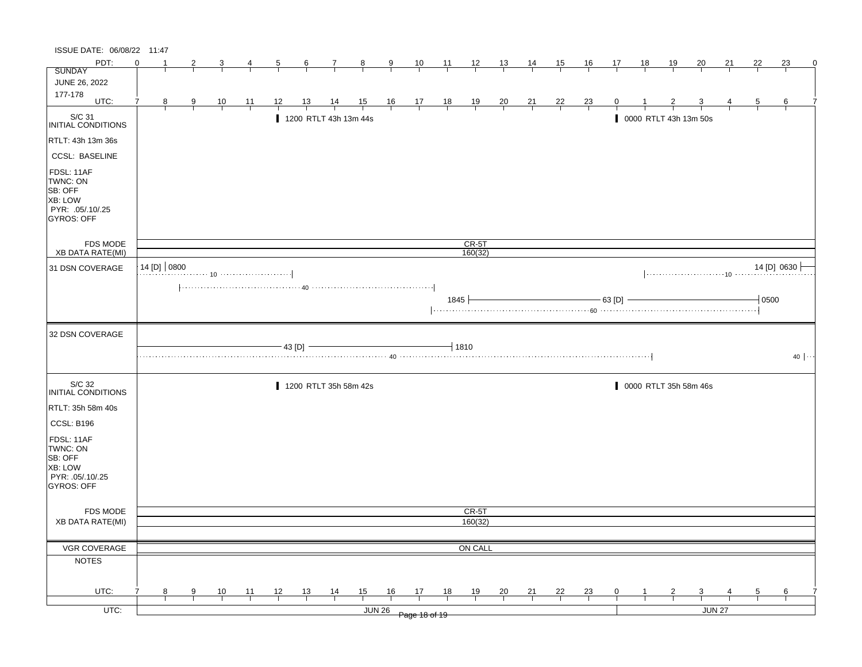| ISSUE DATE: 06/08/22 11:47                                                            |          |                  |   |                |    |    |           |                                                                                                                                      |                         |        |                                                      |                |                    |                |                |         |                |        |              |                |                         |        |         |                |
|---------------------------------------------------------------------------------------|----------|------------------|---|----------------|----|----|-----------|--------------------------------------------------------------------------------------------------------------------------------------|-------------------------|--------|------------------------------------------------------|----------------|--------------------|----------------|----------------|---------|----------------|--------|--------------|----------------|-------------------------|--------|---------|----------------|
| PDT:                                                                                  | $\Omega$ |                  |   | 3              | 4  | 5  | 6         | 7                                                                                                                                    | $\overline{\mathbf{8}}$ | 9      | <u>10</u>                                            | 11             | $\frac{12}{ }$     | <u>13</u>      | 14             | 15      | 16             | 17     | 18           | 19             | 20                      | 21     | 22      | 23<br>$\Omega$ |
| <b>SUNDAY</b>                                                                         |          |                  |   |                |    |    |           |                                                                                                                                      |                         |        |                                                      |                |                    |                |                |         |                |        |              |                |                         |        |         |                |
| JUNE 26, 2022                                                                         |          |                  |   |                |    |    |           |                                                                                                                                      |                         |        |                                                      |                |                    |                |                |         |                |        |              |                |                         |        |         |                |
| 177-178<br>UTC:                                                                       | 7        |                  |   |                |    |    |           |                                                                                                                                      |                         |        |                                                      |                |                    |                |                |         |                |        |              |                |                         |        |         |                |
|                                                                                       |          | 8                | 9 | $\frac{10}{1}$ | 11 | 12 | <u>13</u> | $\frac{14}{1}$                                                                                                                       | $\frac{15}{1}$          |        | $\begin{array}{c c}\n16 & 17 \\ \hline\n\end{array}$ | $\frac{18}{1}$ | $\frac{19}{1}$     | $\frac{20}{1}$ | $\frac{21}{1}$ | $^{22}$ | $\frac{23}{1}$ | 0      |              |                |                         |        | 5       | 6              |
| S/C 31<br>INITIAL CONDITIONS                                                          |          |                  |   |                |    |    |           | 1200 RTLT 43h 13m 44s                                                                                                                |                         |        |                                                      |                |                    |                |                |         |                |        |              |                | 0000 RTLT 43h 13m 50s   |        |         |                |
| RTLT: 43h 13m 36s                                                                     |          |                  |   |                |    |    |           |                                                                                                                                      |                         |        |                                                      |                |                    |                |                |         |                |        |              |                |                         |        |         |                |
| <b>CCSL: BASELINE</b>                                                                 |          |                  |   |                |    |    |           |                                                                                                                                      |                         |        |                                                      |                |                    |                |                |         |                |        |              |                |                         |        |         |                |
| FDSL: 11AF<br>TWNC: ON<br>SB: OFF<br>XB: LOW<br>PYR: .05/.10/.25<br><b>GYROS: OFF</b> |          |                  |   |                |    |    |           |                                                                                                                                      |                         |        |                                                      |                |                    |                |                |         |                |        |              |                |                         |        |         |                |
| FDS MODE<br>XB DATA RATE(MI)                                                          |          |                  |   |                |    |    |           |                                                                                                                                      |                         |        |                                                      |                | $CR-5T$<br>160(32) |                |                |         |                |        |              |                |                         |        |         |                |
|                                                                                       |          |                  |   |                |    |    |           |                                                                                                                                      |                         |        |                                                      |                |                    |                |                |         |                |        |              |                |                         |        |         |                |
| 31 DSN COVERAGE                                                                       |          | $14$ [D] $ 0800$ |   |                |    |    |           |                                                                                                                                      |                         |        |                                                      |                |                    |                |                |         |                |        |              |                |                         |        |         | 14 [D] 0630    |
|                                                                                       |          |                  |   |                |    |    |           | $\left[\ldots,\ldots,\ldots,\ldots,\ldots,\ldots,\ldots,\;40\;\ldots,\ldots,\ldots,\ldots,\ldots,\ldots,\ldots,\ldots,\ldots\right]$ |                         |        |                                                      | 1845           |                    |                |                |         |                | 63 [D] |              |                |                         |        | $-0500$ |                |
| 32 DSN COVERAGE                                                                       |          |                  |   |                |    |    |           |                                                                                                                                      |                         |        |                                                      |                |                    |                |                |         |                |        |              |                |                         |        |         |                |
|                                                                                       |          |                  |   |                |    |    | 43 [D] -  |                                                                                                                                      |                         |        |                                                      |                | $-1810$            |                |                |         |                |        |              |                |                         |        |         | $40$ $\cdots$  |
| S/C 32<br>INITIAL CONDITIONS                                                          |          |                  |   |                |    |    |           | 1200 RTLT 35h 58m 42s                                                                                                                |                         |        |                                                      |                |                    |                |                |         |                |        |              |                | 0000 RTLT 35h 58m 46s   |        |         |                |
| RTLT: 35h 58m 40s                                                                     |          |                  |   |                |    |    |           |                                                                                                                                      |                         |        |                                                      |                |                    |                |                |         |                |        |              |                |                         |        |         |                |
| CCSL: B196                                                                            |          |                  |   |                |    |    |           |                                                                                                                                      |                         |        |                                                      |                |                    |                |                |         |                |        |              |                |                         |        |         |                |
| FDSL: 11AF<br>TWNC: ON<br>SB: OFF<br>XB: LOW<br>PYR: .05/.10/.25<br>GYROS: OFF        |          |                  |   |                |    |    |           |                                                                                                                                      |                         |        |                                                      |                |                    |                |                |         |                |        |              |                |                         |        |         |                |
| FDS MODE                                                                              |          |                  |   |                |    |    |           |                                                                                                                                      |                         |        |                                                      |                | CR-5T              |                |                |         |                |        |              |                |                         |        |         |                |
| <b>XB DATA RATE(MI)</b>                                                               |          |                  |   |                |    |    |           |                                                                                                                                      |                         |        |                                                      |                | 160(32)            |                |                |         |                |        |              |                |                         |        |         |                |
|                                                                                       |          |                  |   |                |    |    |           |                                                                                                                                      |                         |        |                                                      |                |                    |                |                |         |                |        |              |                |                         |        |         |                |
| VGR COVERAGE                                                                          |          |                  |   |                |    |    |           |                                                                                                                                      |                         |        |                                                      |                | ON CALL            |                |                |         |                |        |              |                |                         |        |         |                |
| <b>NOTES</b>                                                                          |          |                  |   |                |    |    |           |                                                                                                                                      |                         |        |                                                      |                |                    |                |                |         |                |        |              |                |                         |        |         |                |
| UTC:                                                                                  | 7        | 8                | 9 | $\frac{10}{1}$ | 11 | 12 | 13        | $\frac{14}{1}$                                                                                                                       | $\frac{15}{1}$          | 16     | 17                                                   | 18             | 19                 | $\frac{20}{1}$ | $\frac{21}{1}$ | 22      | $\frac{23}{1}$ | 0      | $\mathbf{1}$ | $\overline{2}$ | $\overline{\mathbf{3}}$ |        | 5       | 6              |
| $UTC$ :                                                                               |          |                  |   |                |    |    |           |                                                                                                                                      |                         | JUN 26 |                                                      |                |                    |                |                |         |                |        |              |                |                         | JUN 27 |         |                |
|                                                                                       |          |                  |   |                |    |    |           |                                                                                                                                      |                         |        | Page 18 of 19                                        |                |                    |                |                |         |                |        |              |                |                         |        |         |                |